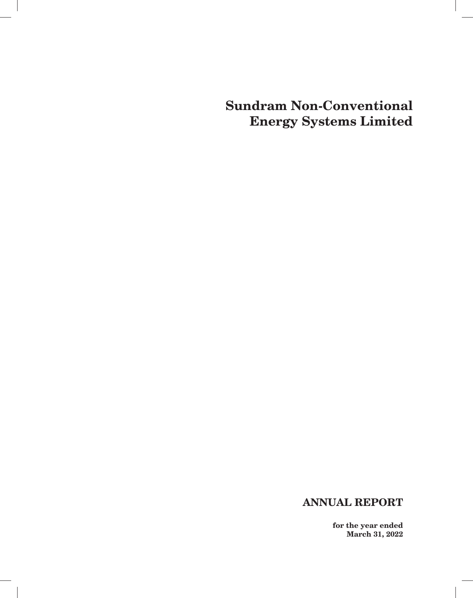# **ANNUAL REPORT**

**for the year ended March 31, 2022**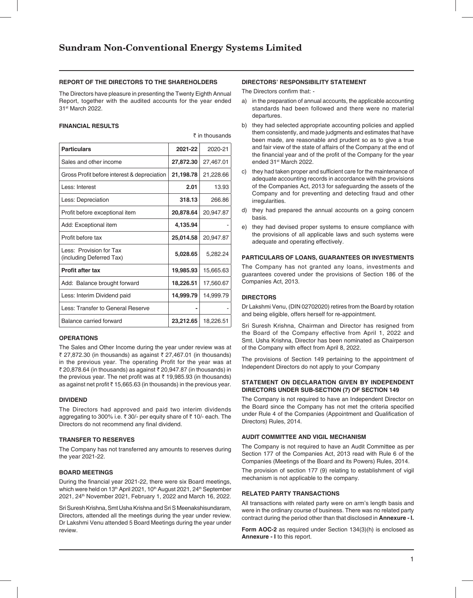$\overline{z}$  in thousands

#### **REPORT OF THE DIRECTORS TO THE SHAREHOLDERS**

The Directors have pleasure in presenting the Twenty Eighth Annual Report, together with the audited accounts for the year ended 31<sup>st</sup> March 2022.

#### **FINANCIAL RESULTS**

| 2021-22   | 2020-21   |
|-----------|-----------|
| 27,872.30 | 27,467.01 |
| 21,198.78 | 21,228.66 |
| 2.01      | 13.93     |
| 318.13    | 266.86    |
| 20,878.64 | 20,947.87 |
| 4,135.94  |           |
| 25,014.58 | 20,947.87 |
| 5,028.65  | 5,282.24  |
| 19,985.93 | 15,665.63 |
| 18,226.51 | 17,560.67 |
| 14,999.79 | 14,999.79 |
|           |           |
| 23,212.65 | 18,226.51 |
|           |           |

#### **OPERATIONS**

The Sales and Other Income during the year under review was at ₹ 27,872.30 (in thousands) as against ₹ 27,467.01 (in thousands) in the previous year. The operating Profit for the year was at ₹ 20,878.64 (in thousands) as against ₹ 20,947.87 (in thousands) in the previous year. The net profit was at  $\bar{\tau}$  19,985.93 (in thousands) as against net profit  $\bar{\tau}$  15,665.63 (in thousands) in the previous year.

#### **DIVIDEND**

The Directors had approved and paid two interim dividends aggregating to 300% i.e.  $\bar{\tau}$  30/- per equity share of  $\bar{\tau}$  10/- each. The Directors do not recommend any final dividend.

#### **TRANSFER TO RESERVES**

The Company has not transferred any amounts to reserves during the year 2021-22.

#### **BOARD MEETINGS**

During the financial year 2021-22, there were six Board meetings, which were held on 13th April 2021, 10th August 2021, 24th September 2021, 24<sup>th</sup> November 2021, February 1, 2022 and March 16, 2022.

Sri Suresh Krishna, Smt Usha Krishna and Sri S Meenakshisundaram, Directors, attended all the meetings during the year under review. Dr Lakshmi Venu attended 5 Board Meetings during the year under review.

### **DIRECTORS' RESPONSIBILITY STATEMENT**

The Directors confirm that: -

- a) in the preparation of annual accounts, the applicable accounting standards had been followed and there were no material departures.
- b) they had selected appropriate accounting policies and applied them consistently, and made judgments and estimates that have been made, are reasonable and prudent so as to give a true and fair view of the state of affairs of the Company at the end of the financial year and of the profit of the Company for the year ended 31<sup>st</sup> March 2022.
- c) they had taken proper and sufficient care for the maintenance of adequate accounting records in accordance with the provisions of the Companies Act, 2013 for safeguarding the assets of the Company and for preventing and detecting fraud and other irregularities.
- d) they had prepared the annual accounts on a going concern basis.
- e) they had devised proper systems to ensure compliance with the provisions of all applicable laws and such systems were adequate and operating effectively*.*

# **PARTICULARS OF LOANS, GUARANTEES OR INVESTMENTS**

The Company has not granted any loans, investments and guarantees covered under the provisions of Section 186 of the Companies Act, 2013.

## **DIRECTORS**

Dr Lakshmi Venu, (DIN 02702020) retires from the Board by rotation and being eligible, offers herself for re-appointment.

Sri Suresh Krishna, Chairman and Director has resigned from the Board of the Company effective from April 1, 2022 and Smt. Usha Krishna, Director has been nominated as Chairperson of the Company with effect from April 8, 2022.

The provisions of Section 149 pertaining to the appointment of Independent Directors do not apply to your Company

#### **STATEMENT ON DECLARATION GIVEN BY INDEPENDENT DIRECTORS UNDER SUB-SECTION (7) OF SECTION 149**

The Company is not required to have an Independent Director on the Board since the Company has not met the criteria specified under Rule 4 of the Companies (Appointment and Qualification of Directors) Rules, 2014.

#### **AUDIT COMMITTEE AND VIGIL MECHANISM**

The Company is not required to have an Audit Committee as per Section 177 of the Companies Act, 2013 read with Rule 6 of the Companies (Meetings of the Board and its Powers) Rules, 2014.

The provision of section 177 (9) relating to establishment of vigil mechanism is not applicable to the company.

#### **RELATED PARTY TRANSACTIONS**

All transactions with related party were on arm's length basis and were in the ordinary course of business. There was no related party contract during the period other than that disclosed in **Annexure - I.**

**Form AOC-2** as required under Section 134(3)(h) is enclosed as **Annexure - I** to this report.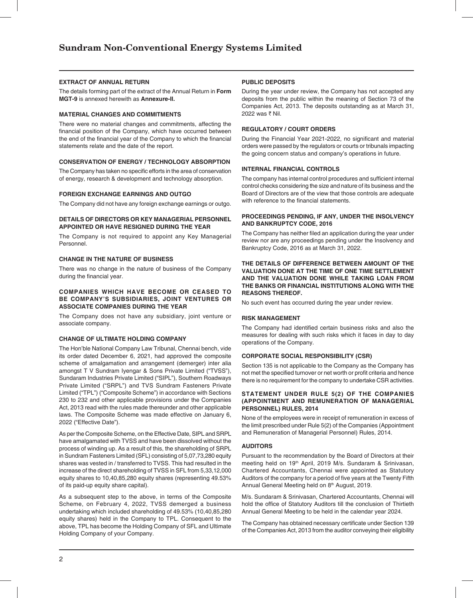#### **EXTRACT OF ANNUAL RETURN**

The details forming part of the extract of the Annual Return in **Form MGT-9** is annexed herewith as **Annexure-II.**

#### **MATERIAL CHANGES AND COMMITMENTS**

There were no material changes and commitments, affecting the financial position of the Company, which have occurred between the end of the financial year of the Company to which the financial statements relate and the date of the report.

#### **CONSERVATION OF ENERGY / TECHNOLOGY ABSORPTION**

The Company has taken no specific efforts in the area of conservation of energy, research & development and technology absorption.

#### **FOREIGN EXCHANGE EARNINGS AND OUTGO**

The Company did not have any foreign exchange earnings or outgo.

#### **DETAILS OF DIRECTORS OR KEY MANAGERIAL PERSONNEL APPOINTED OR HAVE RESIGNED DURING THE YEAR**

The Company is not required to appoint any Key Managerial Personnel.

#### **CHANGE IN THE NATURE OF BUSINESS**

There was no change in the nature of business of the Company during the financial year.

#### **COMPANIES WHICH HAVE BECOME OR CEASED TO BE COMPANY'S SUBSIDIARIES, JOINT VENTURES OR ASSOCIATE COMPANIES DURING THE YEAR**

The Company does not have any subsidiary, joint venture or associate company.

#### **CHANGE OF ULTIMATE HOLDING COMPANY**

The Hon'ble National Company Law Tribunal, Chennai bench, vide its order dated December 6, 2021, had approved the composite scheme of amalgamation and arrangement (demerger) inter alia amongst T V Sundram Iyengar & Sons Private Limited ("TVSS"), Sundaram Industries Private Limited ("SIPL"), Southern Roadways Private Limited ("SRPL") and TVS Sundram Fasteners Private Limited ("TPL") ("Composite Scheme") in accordance with Sections 230 to 232 and other applicable provisions under the Companies Act, 2013 read with the rules made thereunder and other applicable laws. The Composite Scheme was made effective on January 6, 2022 ("Effective Date").

As per the Composite Scheme, on the Effective Date, SIPL and SRPL have amalgamated with TVSS and have been dissolved without the process of winding up. As a result of this, the shareholding of SRPL in Sundram Fasteners Limited (SFL) consisting of 5,07,73,280 equity shares was vested in / transferred to TVSS. This had resulted in the increase of the direct shareholding of TVSS in SFL from 5,33,12,000 equity shares to 10,40,85,280 equity shares (representing 49.53% of its paid-up equity share capital).

As a subsequent step to the above, in terms of the Composite Scheme, on February 4, 2022, TVSS demerged a business undertaking which included shareholding of 49.53% (10,40,85,280 equity shares) held in the Company to TPL. Consequent to the above, TPL has become the Holding Company of SFL and Ultimate Holding Company of your Company.

#### **PUBLIC DEPOSITS**

During the year under review, the Company has not accepted any deposits from the public within the meaning of Section 73 of the Companies Act, 2013. The deposits outstanding as at March 31, 2022 was ₹ Nil.

#### **REGULATORY / COURT ORDERS**

During the Financial Year 2021-2022, no significant and material orders were passed by the regulators or courts or tribunals impacting the going concern status and company's operations in future.

#### **INTERNAL FINANCIAL CONTROLS**

The company has internal control procedures and sufficient internal control checks considering the size and nature of its business and the Board of Directors are of the view that those controls are adequate with reference to the financial statements.

#### **PROCEEDINGS PENDING, IF ANY, UNDER THE INSOLVENCY AND BANKRUPTCY CODE, 2016**

The Company has neither filed an application during the year under review nor are any proceedings pending under the Insolvency and Bankruptcy Code, 2016 as at March 31, 2022.

#### **THE DETAILS OF DIFFERENCE BETWEEN AMOUNT OF THE VALUATION DONE AT THE TIME OF ONE TIME SETTLEMENT AND THE VALUATION DONE WHILE TAKING LOAN FROM THE BANKS OR FINANCIAL INSTITUTIONS ALONG WITH THE REASONS THEREOF.**

No such event has occurred during the year under review.

#### **RISK MANAGEMENT**

The Company had identified certain business risks and also the measures for dealing with such risks which it faces in day to day operations of the Company.

#### **CORPORATE SOCIAL RESPONSIBILITY (CSR)**

Section 135 is not applicable to the Company as the Company has not met the specified turnover or net worth or profit criteria and hence there is no requirement for the company to undertake CSR activities.

#### **STATEMENT UNDER RULE 5(2) OF THE COMPANIES (APPOINTMENT AND REMUNERATION OF MANAGERIAL PERSONNEL) RULES, 2014**

None of the employees were in receipt of remuneration in excess of the limit prescribed under Rule 5(2) of the Companies (Appointment and Remuneration of Managerial Personnel) Rules, 2014.

#### **AUDITORS**

Pursuant to the recommendation by the Board of Directors at their meeting held on 19<sup>th</sup> April, 2019 M/s. Sundaram & Srinivasan, Chartered Accountants, Chennai were appointed as Statutory Auditors of the company for a period of five years at the Twenty Fifth Annual General Meeting held on 8<sup>th</sup> August, 2019.

M/s. Sundaram & Srinivasan, Chartered Accountants, Chennai will hold the office of Statutory Auditors till the conclusion of Thirtieth Annual General Meeting to be held in the calendar year 2024.

The Company has obtained necessary certificate under Section 139 of the Companies Act, 2013 from the auditor conveying their eligibility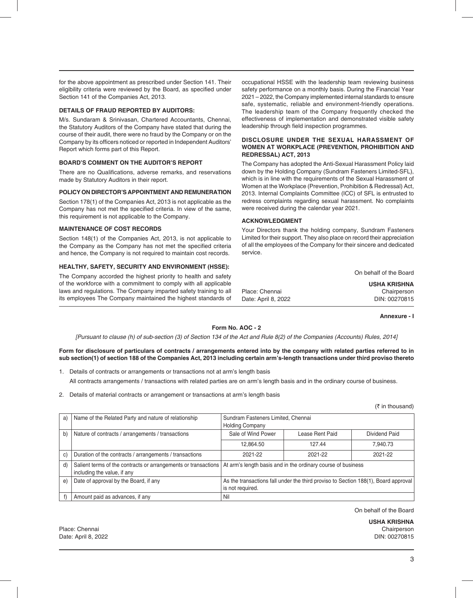for the above appointment as prescribed under Section 141. Their eligibility criteria were reviewed by the Board, as specified under Section 141 of the Companies Act, 2013.

#### **DETAILS OF FRAUD REPORTED BY AUDITORS:**

M/s. Sundaram & Srinivasan, Chartered Accountants, Chennai, the Statutory Auditors of the Company have stated that during the course of their audit, there were no fraud by the Company or on the Company by its officers noticed or reported in Independent Auditors' Report which forms part of this Report.

#### **BOARD'S COMMENT ON THE AUDITOR'S REPORT**

There are no Qualifications, adverse remarks, and reservations made by Statutory Auditors in their report.

#### **POLICY ON DIRECTOR'S APPOINTMENT AND REMUNERATION**

Section 178(1) of the Companies Act, 2013 is not applicable as the Company has not met the specified criteria. In view of the same, this requirement is not applicable to the Company.

#### **MAINTENANCE OF COST RECORDS**

Section 148(1) of the Companies Act, 2013, is not applicable to the Company as the Company has not met the specified criteria and hence, the Company is not required to maintain cost records.

#### **HEALTHY, SAFETY, SECURITY AND ENVIRONMENT (HSSE):**

The Company accorded the highest priority to health and safety of the workforce with a commitment to comply with all applicable laws and regulations. The Company imparted safety training to all its employees The Company maintained the highest standards of occupational HSSE with the leadership team reviewing business safety performance on a monthly basis. During the Financial Year 2021 – 2022, the Company implemented internal standards to ensure safe, systematic, reliable and environment-friendly operations. The leadership team of the Company frequently checked the effectiveness of implementation and demonstrated visible safety leadership through field inspection programmes.

#### **DISCLOSURE UNDER THE SEXUAL HARASSMENT OF WOMEN AT WORKPLACE (PREVENTION, PROHIBITION AND REDRESSAL) ACT, 2013**

The Company has adopted the Anti-Sexual Harassment Policy laid down by the Holding Company (Sundram Fasteners Limited-SFL), which is in line with the requirements of the Sexual Harassment of Women at the Workplace (Prevention, Prohibition & Redressal) Act, 2013. Internal Complaints Committee (ICC) of SFL is entrusted to redress complaints regarding sexual harassment. No complaints were received during the calendar year 2021.

#### **ACKNOWLEDGMENT**

Your Directors thank the holding company, Sundram Fasteners Limited for their support. They also place on record their appreciation of all the employees of the Company for their sincere and dedicated service.

| On behalf of the Board |
|------------------------|
| <b>USHA KRISHNA</b>    |
| Chairperson            |
| DIN: 00270815          |
|                        |

**Annexure - I**

#### **Form No. AOC - 2**

*[Pursuant to clause (h) of sub-section (3) of Section 134 of the Act and Rule 8(2) of the Companies (Accounts) Rules, 2014]*

**Form for disclosure of particulars of contracts / arrangements entered into by the company with related parties referred to in sub section(1) of section 188 of the Companies Act, 2013 including certain arm's-length transactions under third proviso thereto**

- 1. Details of contracts or arrangements or transactions not at arm's length basis All contracts arrangements / transactions with related parties are on arm's length basis and in the ordinary course of business.
- 2. Details of material contracts or arrangement or transactions at arm's length basis

 $(\bar{\tau} \text{ in thousand})$ 

| a) | Name of the Related Party and nature of relationship                                          | Sundram Fasteners Limited, Chennai<br><b>Holding Company</b> |                                                                                    |               |
|----|-----------------------------------------------------------------------------------------------|--------------------------------------------------------------|------------------------------------------------------------------------------------|---------------|
| b) | Nature of contracts / arrangements / transactions                                             | Sale of Wind Power                                           | Lease Rent Paid                                                                    | Dividend Paid |
|    |                                                                                               | 12.864.50                                                    | 127.44                                                                             | 7.940.73      |
| C) | Duration of the contracts / arrangements / transactions                                       | 2021-22                                                      | 2021-22                                                                            | 2021-22       |
| d) | Salient terms of the contracts or arrangements or transactions<br>including the value, if any |                                                              | At arm's length basis and in the ordinary course of business                       |               |
| e) | Date of approval by the Board, if any                                                         |                                                              | As the transactions fall under the third proviso to Section 188(1), Board approval |               |
|    |                                                                                               | is not required.                                             |                                                                                    |               |
|    | Amount paid as advances, if any                                                               | Nil                                                          |                                                                                    |               |

On behalf of the Board

**USHA KRISHNA** Place: Chennai Chairperson Chairperson Chairperson Chairperson Chairperson Chairperson Date: April 8, 2022 DIN: 00270815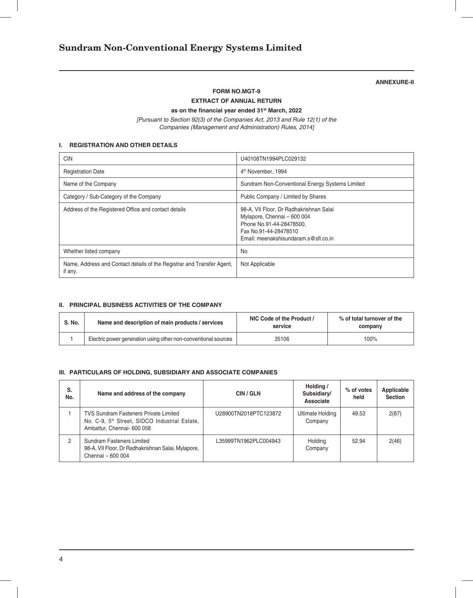## **ANNEXURE-II**

# **FORM NO.MGT-9 EXTRACT OF ANNUAL RETURN**

# as on the financial year ended 31<sup>st</sup> March, 2022

*[Pursuant to Section 92(3) of the Companies Act, 2013 and Rule 12(1) of the Companies (Management and Administration) Rules, 2014]*

## **I. REGISTRATION AND OTHER DETAILS**

| <b>CIN</b>                                                                        | U40108TN1994PLC029132                                                                                                                                               |
|-----------------------------------------------------------------------------------|---------------------------------------------------------------------------------------------------------------------------------------------------------------------|
| <b>Registration Date</b>                                                          | 4 <sup>th</sup> November, 1994                                                                                                                                      |
| Name of the Company                                                               | Sundram Non-Conventional Energy Systems Limited                                                                                                                     |
| Category / Sub-Category of the Company                                            | Public Company / Limited by Shares                                                                                                                                  |
| Address of the Registered Office and contact details                              | 98-A, VII Floor, Dr Radhakrishnan Salai<br>Mylapore, Chennai - 600 004<br>Phone No.91-44-28478500,<br>Fax No.91-44-28478510<br>Email: meenakshisundaram.s@sfl.co.in |
| Whether listed company                                                            | No                                                                                                                                                                  |
| Name, Address and Contact details of the Registrar and Transfer Agent,<br>if any. | Not Applicable                                                                                                                                                      |

### **II. PRINCIPAL BUSINESS ACTIVITIES OF THE COMPANY**

| S. No. | Name and description of main products / services               | NIC Code of the Product /<br>service | % of total turnover of the<br>company |  |
|--------|----------------------------------------------------------------|--------------------------------------|---------------------------------------|--|
|        | Electric power generation using other non-conventional sources | 35106                                | 100%                                  |  |

## **III. PARTICULARS OF HOLDING, SUBSIDIARY AND ASSOCIATE COMPANIES**

| S.<br>No. | Name and address of the company                                                                                                         | CIN/GLN               | Holding /<br>Subsidiary/<br>Associate | $%$ of votes<br>held | Applicable<br><b>Section</b> |
|-----------|-----------------------------------------------------------------------------------------------------------------------------------------|-----------------------|---------------------------------------|----------------------|------------------------------|
|           | <b>TVS Sundram Fasteners Private Limited</b><br>No. C-9, 5 <sup>th</sup> Street, SIDCO Industrial Estate,<br>Ambattur, Chennai- 600 058 | U28900TN2018PTC123872 | Ultimate Holding<br>Company           | 49.53                | 2(87)                        |
| 2         | Sundram Fasteners Limited<br>98-A, VII Floor, Dr Radhakrishnan Salai, Mylapore,<br>Chennai - 600 004                                    | L35999TN1962PLC004943 | Holding<br>Company                    | 52.94                | 2(46)                        |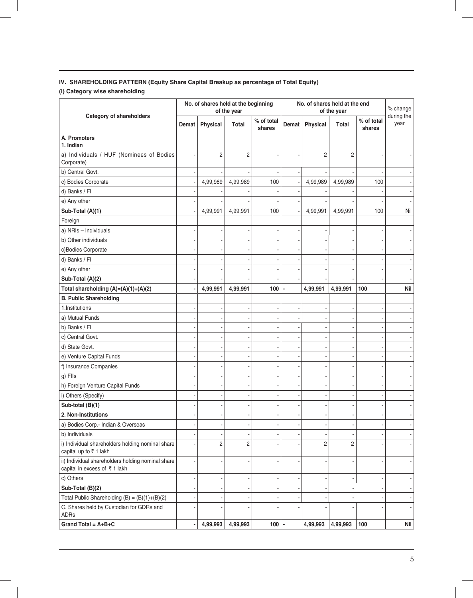# **IV. SHAREHOLDING PATTERN (Equity Share Capital Breakup as percentage of Total Equity)**

**(i) Category wise shareholding**

|                                                                                   |                          | No. of shares held at the beginning | of the year    |                          |       | No. of shares held at the end | of the year    |                      | % change           |
|-----------------------------------------------------------------------------------|--------------------------|-------------------------------------|----------------|--------------------------|-------|-------------------------------|----------------|----------------------|--------------------|
| <b>Category of shareholders</b>                                                   | Demat                    | Physical                            | Total          | % of total<br>shares     | Demat | Physical                      | Total          | % of total<br>shares | during the<br>year |
| A. Promoters<br>1. Indian                                                         |                          |                                     |                |                          |       |                               |                |                      |                    |
| a) Individuals / HUF (Nominees of Bodies<br>Corporate)                            |                          | 2                                   | $\overline{c}$ |                          |       | $\overline{2}$                | $\overline{c}$ |                      |                    |
| b) Central Govt.                                                                  |                          |                                     |                |                          |       |                               |                |                      |                    |
| c) Bodies Corporate                                                               |                          | 4,99,989                            | 4,99,989       | 100                      | ł,    | 4,99,989                      | 4,99,989       | 100                  |                    |
| d) Banks / Fl                                                                     |                          |                                     |                |                          |       |                               |                |                      | $\overline{a}$     |
| e) Any other                                                                      |                          |                                     |                |                          |       |                               |                |                      |                    |
| Sub-Total (A)(1)                                                                  |                          | 4,99,991                            | 4,99,991       | 100                      | ÷,    | 4,99,991                      | 4,99,991       | 100                  | Nil                |
| Foreign                                                                           |                          |                                     |                |                          |       |                               |                |                      |                    |
| a) NRIs - Individuals                                                             |                          | -                                   |                | -                        |       |                               |                |                      |                    |
| b) Other individuals                                                              |                          | $\overline{a}$                      |                |                          |       |                               |                |                      |                    |
| c)Bodies Corporate                                                                |                          | ÷,                                  |                |                          |       |                               |                |                      |                    |
| d) Banks / Fl                                                                     |                          | $\overline{\phantom{0}}$            |                |                          |       |                               |                |                      |                    |
| e) Any other                                                                      |                          |                                     |                |                          |       |                               |                |                      |                    |
| Sub-Total (A)(2)                                                                  |                          |                                     |                |                          |       |                               |                |                      |                    |
| Total shareholding (A)=(A)(1)+(A)(2)                                              | $\overline{\phantom{a}}$ | 4,99,991                            | 4,99,991       | 100                      |       | 4,99,991                      | 4,99,991       | 100                  | Nil                |
| <b>B. Public Shareholding</b>                                                     |                          |                                     |                |                          |       |                               |                |                      |                    |
| 1. Institutions                                                                   |                          |                                     |                |                          |       |                               |                |                      |                    |
| a) Mutual Funds                                                                   |                          |                                     |                |                          |       |                               |                |                      |                    |
| b) Banks / Fl                                                                     |                          | ä,                                  |                | ٠                        |       |                               |                |                      |                    |
| c) Central Govt.                                                                  |                          | $\overline{a}$                      |                | $\overline{\phantom{a}}$ | ÷     |                               |                |                      |                    |
| d) State Govt.                                                                    |                          |                                     |                |                          |       |                               |                |                      |                    |
| e) Venture Capital Funds                                                          |                          | $\overline{a}$                      |                |                          |       |                               |                |                      |                    |
| f) Insurance Companies                                                            |                          | ä,                                  |                |                          |       |                               |                |                      |                    |
| g) Flls                                                                           |                          | $\overline{a}$                      |                |                          |       |                               |                |                      |                    |
| h) Foreign Venture Capital Funds                                                  |                          | $\overline{a}$                      |                |                          |       |                               |                |                      |                    |
| i) Others (Specify)                                                               |                          |                                     |                |                          |       |                               |                |                      |                    |
| Sub-total (B)(1)                                                                  |                          | $\overline{\phantom{0}}$            |                |                          |       |                               |                |                      |                    |
| 2. Non-Institutions                                                               |                          |                                     |                |                          |       |                               |                |                      |                    |
| a) Bodies Corp.- Indian & Overseas                                                |                          |                                     |                |                          |       |                               |                |                      |                    |
| b) Individuals                                                                    | $\overline{a}$           |                                     |                |                          |       |                               |                |                      |                    |
| i) Individual shareholders holding nominal share<br>capital up to ₹1 lakh         |                          | 2                                   | 2              |                          |       | $\overline{2}$                | 2              |                      |                    |
| ii) Individual shareholders holding nominal share<br>capital in excess of ₹1 lakh |                          | ä,                                  |                |                          |       |                               |                |                      | $\blacksquare$     |
| c) Others                                                                         | $\overline{a}$           | $\frac{1}{2}$                       |                |                          |       |                               |                |                      | $\blacksquare$     |
| Sub-Total (B)(2)                                                                  |                          |                                     |                |                          |       |                               |                |                      |                    |
| Total Public Shareholding $(B) = (B)(1)+(B)(2)$                                   |                          |                                     |                |                          |       |                               |                |                      | $\blacksquare$     |
| C. Shares held by Custodian for GDRs and<br>ADRs                                  |                          |                                     |                |                          |       |                               |                |                      | $\blacksquare$     |
| Grand Total = $A+B+C$                                                             |                          | 4,99,993                            | 4,99,993       | $100$ -                  |       | 4,99,993                      | 4,99,993       | 100                  | Nil                |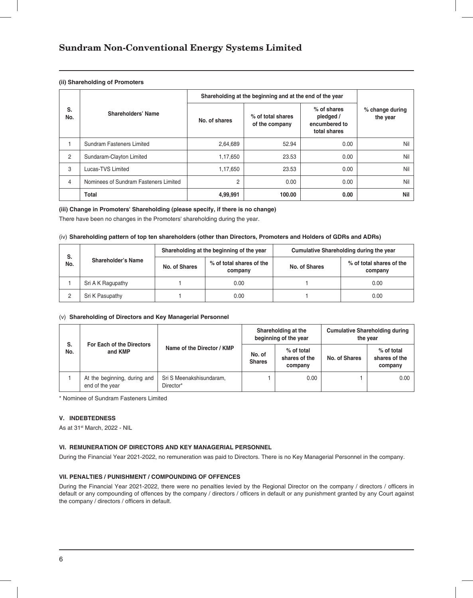#### **(ii) Shareholding of Promoters**

|           |                                       | Shareholding at the beginning and at the end of the year |                                     |                                                           |                             |
|-----------|---------------------------------------|----------------------------------------------------------|-------------------------------------|-----------------------------------------------------------|-----------------------------|
| S.<br>No. | Shareholders' Name                    | No. of shares                                            | % of total shares<br>of the company | % of shares<br>pledged /<br>encumbered to<br>total shares | % change during<br>the year |
|           | Sundram Fasteners Limited             | 2,64,689                                                 | 52.94                               | 0.00                                                      | Nil                         |
| 2         | Sundaram-Clayton Limited              | 1,17,650                                                 | 23.53                               | 0.00                                                      | Nil                         |
| 3         | Lucas-TVS Limited                     | 1,17,650                                                 | 23.53                               | 0.00                                                      | Nil                         |
| 4         | Nominees of Sundram Fasteners Limited | $\overline{2}$                                           | 0.00                                | 0.00                                                      | Nil                         |
|           | <b>Total</b>                          | 4,99,991                                                 | 100.00                              | 0.00                                                      | Nil                         |

# **(iii) Change in Promoters' Shareholding (please specify, if there is no change)**

There have been no changes in the Promoters' shareholding during the year.

#### (iv) **Shareholding pattern of top ten shareholders (other than Directors, Promoters and Holders of GDRs and ADRs)**

| S.  |                    |               | Shareholding at the beginning of the year | Cumulative Shareholding during the year |                                     |
|-----|--------------------|---------------|-------------------------------------------|-----------------------------------------|-------------------------------------|
| No. | Shareholder's Name | No. of Shares | % of total shares of the<br>company       | No. of Shares                           | % of total shares of the<br>company |
|     | Sri A K Ragupathy  |               | 0.00                                      |                                         | 0.00                                |
|     | Sri K Pasupathy    |               | 0.00                                      |                                         | 0.00                                |

#### (v) **Shareholding of Directors and Key Managerial Personnel**

| S.  |                                                 | Shareholding at the<br>beginning of the year<br><b>For Each of the Directors</b> |                         |                                        | <b>Cumulative Shareholding during</b><br>the year |                                          |
|-----|-------------------------------------------------|----------------------------------------------------------------------------------|-------------------------|----------------------------------------|---------------------------------------------------|------------------------------------------|
| No. | and KMP                                         | Name of the Director / KMP                                                       | No. of<br><b>Shares</b> | % of total<br>shares of the<br>company | No. of Shares                                     | $%$ of total<br>shares of the<br>company |
|     | At the beginning, during and<br>end of the year | Sri S Meenakshisundaram,<br>Director*                                            |                         | 0.00                                   |                                                   | 0.00                                     |

\* Nominee of Sundram Fasteners Limited

#### **V. INDEBTEDNESS**

As at 31<sup>st</sup> March, 2022 - NIL

## **VI. REMUNERATION OF DIRECTORS AND KEY MANAGERIAL PERSONNEL**

During the Financial Year 2021-2022, no remuneration was paid to Directors. There is no Key Managerial Personnel in the company.

#### **VII. PENALTIES / PUNISHMENT / COMPOUNDING OF OFFENCES**

During the Financial Year 2021-2022, there were no penalties levied by the Regional Director on the company / directors / officers in default or any compounding of offences by the company / directors / officers in default or any punishment granted by any Court against the company / directors / officers in default.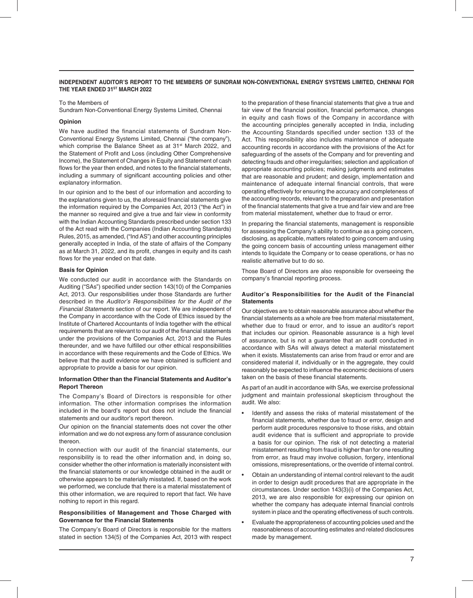#### **INDEPENDENT AUDITOR'S REPORT TO THE MEMBERS OF SUNDRAM NON-CONVENTIONAL ENERGY SYSTEMS LIMITED, CHENNAI FOR THE YEAR ENDED 31ST MARCH 2022**

#### To the Members of

Sundram Non-Conventional Energy Systems Limited, Chennai

#### **Opinion**

We have audited the financial statements of Sundram Non-Conventional Energy Systems Limited, Chennai ("the company"), which comprise the Balance Sheet as at 31<sup>st</sup> March 2022, and the Statement of Profit and Loss (including Other Comprehensive Income), the Statement of Changes in Equity and Statement of cash flows for the year then ended, and notes to the financial statements, including a summary of significant accounting policies and other explanatory information.

In our opinion and to the best of our information and according to the explanations given to us, the aforesaid financial statements give the information required by the Companies Act, 2013 ("the Act") in the manner so required and give a true and fair view in conformity with the Indian Accounting Standards prescribed under section 133 of the Act read with the Companies (Indian Accounting Standards) Rules, 2015, as amended, ("Ind AS") and other accounting principles generally accepted in India, of the state of affairs of the Company as at March 31, 2022, and its profit, changes in equity and its cash flows for the year ended on that date.

#### **Basis for Opinion**

We conducted our audit in accordance with the Standards on Auditing ("SAs") specified under section 143(10) of the Companies Act, 2013. Our responsibilities under those Standards are further described in the *Auditor's Responsibilities for the Audit of the Financial Statements* section of our report. We are independent of the Company in accordance with the Code of Ethics issued by the Institute of Chartered Accountants of India together with the ethical requirements that are relevant to our audit of the financial statements under the provisions of the Companies Act, 2013 and the Rules thereunder, and we have fulfilled our other ethical responsibilities in accordance with these requirements and the Code of Ethics. We believe that the audit evidence we have obtained is sufficient and appropriate to provide a basis for our opinion.

#### **Information Other than the Financial Statements and Auditor's Report Thereon**

The Company's Board of Directors is responsible for other information. The other information comprises the information included in the board's report but does not include the financial statements and our auditor's report thereon.

Our opinion on the financial statements does not cover the other information and we do not express any form of assurance conclusion thereon.

In connection with our audit of the financial statements, our responsibility is to read the other information and, in doing so, consider whether the other information is materially inconsistent with the financial statements or our knowledge obtained in the audit or otherwise appears to be materially misstated. If, based on the work we performed, we conclude that there is a material misstatement of this other information, we are required to report that fact. We have nothing to report in this regard.

#### **Responsibilities of Management and Those Charged with Governance for the Financial Statements**

The Company's Board of Directors is responsible for the matters stated in section 134(5) of the Companies Act, 2013 with respect to the preparation of these financial statements that give a true and fair view of the financial position, financial performance, changes in equity and cash flows of the Company in accordance with the accounting principles generally accepted in India, including the Accounting Standards specified under section 133 of the Act. This responsibility also includes maintenance of adequate accounting records in accordance with the provisions of the Act for safeguarding of the assets of the Company and for preventing and detecting frauds and other irregularities; selection and application of appropriate accounting policies; making judgments and estimates that are reasonable and prudent; and design, implementation and maintenance of adequate internal financial controls, that were operating effectively for ensuring the accuracy and completeness of the accounting records, relevant to the preparation and presentation of the financial statements that give a true and fair view and are free from material misstatement, whether due to fraud or error.

In preparing the financial statements, management is responsible for assessing the Company's ability to continue as a going concern, disclosing, as applicable, matters related to going concern and using the going concern basis of accounting unless management either intends to liquidate the Company or to cease operations, or has no realistic alternative but to do so.

Those Board of Directors are also responsible for overseeing the company's financial reporting process.

#### **Auditor's Responsibilities for the Audit of the Financial Statements**

Our objectives are to obtain reasonable assurance about whether the financial statements as a whole are free from material misstatement, whether due to fraud or error, and to issue an auditor's report that includes our opinion. Reasonable assurance is a high level of assurance, but is not a guarantee that an audit conducted in accordance with SAs will always detect a material misstatement when it exists. Misstatements can arise from fraud or error and are considered material if, individually or in the aggregate, they could reasonably be expected to influence the economic decisions of users taken on the basis of these financial statements.

As part of an audit in accordance with SAs, we exercise professional judgment and maintain professional skepticism throughout the audit. We also:

- Identify and assess the risks of material misstatement of the financial statements, whether due to fraud or error, design and perform audit procedures responsive to those risks, and obtain audit evidence that is sufficient and appropriate to provide a basis for our opinion. The risk of not detecting a material misstatement resulting from fraud is higher than for one resulting from error, as fraud may involve collusion, forgery, intentional omissions, misrepresentations, or the override of internal control.
- Obtain an understanding of internal control relevant to the audit in order to design audit procedures that are appropriate in the circumstances. Under section 143(3)(i) of the Companies Act, 2013, we are also responsible for expressing our opinion on whether the company has adequate internal financial controls system in place and the operating effectiveness of such controls.
- Evaluate the appropriateness of accounting policies used and the reasonableness of accounting estimates and related disclosures made by management.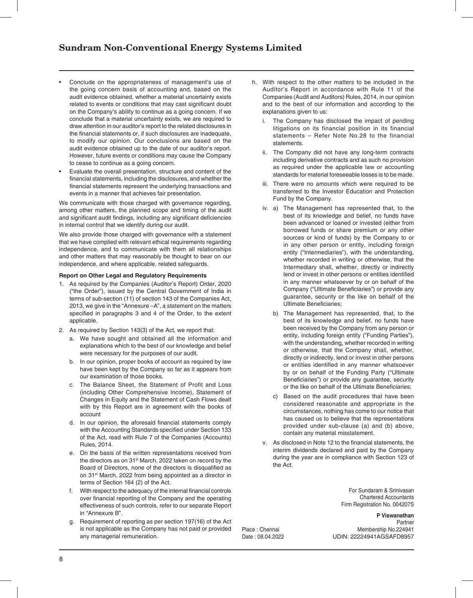- Conclude on the appropriateness of management's use of the going concern basis of accounting and, based on the audit evidence obtained, whether a material uncertainty exists related to events or conditions that may cast significant doubt on the Company's ability to continue as a going concern. If we conclude that a material uncertainty exists, we are required to draw attention in our auditor's report to the related disclosures in the financial statements or, if such disclosures are inadequate, to modify our opinion. Our conclusions are based on the audit evidence obtained up to the date of our auditor's report. However, future events or conditions may cause the Company to cease to continue as a going concern.
- Evaluate the overall presentation, structure and content of the financial statements, including the disclosures, and whether the financial statements represent the underlying transactions and events in a manner that achieves fair presentation.

We communicate with those charged with governance regarding, among other matters, the planned scope and timing of the audit and significant audit findings, including any significant deficiencies in internal control that we identify during our audit.

We also provide those charged with governance with a statement that we have complied with relevant ethical requirements regarding independence, and to communicate with them all relationships and other matters that may reasonably be thought to bear on our independence, and where applicable, related safeguards.

#### **Report on Other Legal and Regulatory Requirements**

- 1. As required by the Companies (Auditor's Report) Order, 2020 ("the Order"), issued by the Central Government of India in terms of sub-section (11) of section 143 of the Companies Act, 2013, we give in the "Annexure –A", a statement on the matters specified in paragraphs 3 and 4 of the Order, to the extent applicable.
- 2. As required by Section 143(3) of the Act, we report that:
	- a. We have sought and obtained all the information and explanations which to the best of our knowledge and belief were necessary for the purposes of our audit.
	- b. In our opinion, proper books of account as required by law have been kept by the Company so far as it appears from our examination of those books.
	- c. The Balance Sheet, the Statement of Profit and Loss (including Other Comprehensive Income), Statement of Changes in Equity and the Statement of Cash Flows dealt with by this Report are in agreement with the books of account
	- d. In our opinion, the aforesaid financial statements comply with the Accounting Standards specified under Section 133 of the Act, read with Rule 7 of the Companies (Accounts) Rules, 2014.
	- e. On the basis of the written representations received from the directors as on 31<sup>st</sup> March, 2022 taken on record by the Board of Directors, none of the directors is disqualified as on 31<sup>st</sup> March, 2022 from being appointed as a director in terms of Section 164 (2) of the Act.
	- f. With respect to the adequacy of the internal financial controls over financial reporting of the Company and the operating effectiveness of such controls, refer to our separate Report in "Annexure B".
	- Requirement of reporting as per section 197(16) of the Act is not applicable as the Company has not paid or provided any managerial remuneration.
- h. With respect to the other matters to be included in the Auditor's Report in accordance with Rule 11 of the Companies (Audit and Auditors) Rules, 2014, in our opinion and to the best of our information and according to the explanations given to us:
	- i. The Company has disclosed the impact of pending litigations on its financial position in its financial statements – Refer Note No.28 to the financial statements.
	- ii. The Company did not have any long-term contracts including derivative contracts and as such no provision as required under the applicable law or accounting standards for material foreseeable losses is to be made.
	- iii. There were no amounts which were required to be transferred to the Investor Education and Protection Fund by the Company.
	- iv. a) The Management has represented that, to the best of its knowledge and belief, no funds have been advanced or loaned or invested (either from borrowed funds or share premium or any other sources or kind of funds) by the Company to or in any other person or entity, including foreign entity ("Intermediaries"), with the understanding, whether recorded in writing or otherwise, that the Intermediary shall, whether, directly or indirectly lend or invest in other persons or entities identified in any manner whatsoever by or on behalf of the Company ("Ultimate Beneficiaries") or provide any guarantee, security or the like on behalf of the Ultimate Beneficiaries;
		- b) The Management has represented, that, to the best of its knowledge and belief, no funds have been received by the Company from any person or entity, including foreign entity ("Funding Parties"), with the understanding, whether recorded in writing or otherwise, that the Company shall, whether, directly or indirectly, lend or invest in other persons or entities identified in any manner whatsoever by or on behalf of the Funding Party ("Ultimate Beneficiaries") or provide any guarantee, security or the like on behalf of the Ultimate Beneficiaries;
		- c) Based on the audit procedures that have been considered reasonable and appropriate in the circumstances, nothing has come to our notice that has caused us to believe that the representations provided under sub-clause (a) and (b) above, contain any material misstatement.
	- v. As disclosed in Note 12 to the financial statements, the interim dividends declared and paid by the Company during the year are in compliance with Section 123 of the Act.

For Sundaram & Srinivasan Chartered Accountants Firm Registration No. 004207S

**P Viswanathan Partner** Partner and the contract of the contract of the contract of the contract of the contract of the contract of the contract of the contract of the contract of the contract of the contract of the contract of the cont Place : Chennai Membership No.224941 Date : 08.04.2022 UDIN: 22224941AGSAFD8957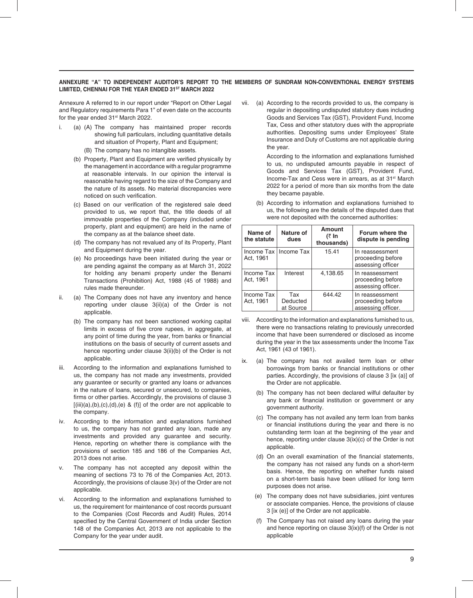#### **ANNEXURE "A" TO INDEPENDENT AUDITOR'S REPORT TO THE MEMBERS OF SUNDRAM NON-CONVENTIONAL ENERGY SYSTEMS**  LIMITED, CHENNAI FOR THE YEAR ENDED 31<sup>ST</sup> MARCH 2022

Annexure A referred to in our report under "Report on Other Legal and Regulatory requirements Para 1" of even date on the accounts for the year ended 31<sup>st</sup> March 2022.

- i. (a) (A) The company has maintained proper records showing full particulars, including quantitative details and situation of Property, Plant and Equipment;
	- (B) The company has no intangible assets.
	- (b) Property, Plant and Equipment are verified physically by the management in accordance with a regular programme at reasonable intervals. In our opinion the interval is reasonable having regard to the size of the Company and the nature of its assets. No material discrepancies were noticed on such verification.
	- (c) Based on our verification of the registered sale deed provided to us, we report that, the title deeds of all immovable properties of the Company (included under property, plant and equipment) are held in the name of the company as at the balance sheet date.
	- (d) The company has not revalued any of its Property, Plant and Equipment during the year.
	- (e) No proceedings have been initiated during the year or are pending against the company as at March 31, 2022 for holding any benami property under the Benami Transactions (Prohibition) Act, 1988 (45 of 1988) and rules made thereunder.
- ii. (a) The Company does not have any inventory and hence reporting under clause 3(ii)(a) of the Order is not applicable.
	- (b) The company has not been sanctioned working capital limits in excess of five crore rupees, in aggregate, at any point of time during the year, from banks or financial institutions on the basis of security of current assets and hence reporting under clause 3(ii)(b) of the Order is not applicable.
- iii. According to the information and explanations furnished to us, the company has not made any investments, provided any guarantee or security or granted any loans or advances in the nature of loans, secured or unsecured, to companies, firms or other parties. Accordingly, the provisions of clause 3  $[(iii)(a),(b),(c),(d),(e)$  &  $(f)]$  of the order are not applicable to the company.
- iv. According to the information and explanations furnished to us, the company has not granted any loan, made any investments and provided any guarantee and security. Hence, reporting on whether there is compliance with the provisions of section 185 and 186 of the Companies Act, 2013 does not arise.
- v. The company has not accepted any deposit within the meaning of sections 73 to 76 of the Companies Act, 2013. Accordingly, the provisions of clause 3(v) of the Order are not applicable.
- vi. According to the information and explanations furnished to us, the requirement for maintenance of cost records pursuant to the Companies (Cost Records and Audit) Rules, 2014 specified by the Central Government of India under Section 148 of the Companies Act, 2013 are not applicable to the Company for the year under audit.

vii. (a) According to the records provided to us, the company is regular in depositing undisputed statutory dues including Goods and Services Tax (GST), Provident Fund, Income Tax, Cess and other statutory dues with the appropriate authorities. Depositing sums under Employees' State Insurance and Duty of Customs are not applicable during the year.

> According to the information and explanations furnished to us, no undisputed amounts payable in respect of Goods and Services Tax (GST), Provident Fund, Income-Tax and Cess were in arrears, as at 31<sup>st</sup> March 2022 for a period of more than six months from the date they became payable.

 (b) According to information and explanations furnished to us, the following are the details of the disputed dues that were not deposited with the concerned authorities:

| Name of<br>the statute  | Nature of<br>dues            | Amount<br>(₹ In<br>thousands) | Forum where the<br>dispute is pending                      |
|-------------------------|------------------------------|-------------------------------|------------------------------------------------------------|
| Act, 1961               | Income Tax   Income Tax      | 15.41                         | In reassessment<br>proceeding before<br>assessing officer  |
| Income Tax<br>Act, 1961 | Interest                     | 4.138.65                      | In reassessment<br>proceeding before<br>assessing officer. |
| Income Tax<br>Act, 1961 | Tax<br>Deducted<br>at Source | 644.42                        | In reassessment<br>proceeding before<br>assessing officer. |

- viii. According to the information and explanations furnished to us, there were no transactions relating to previously unrecorded income that have been surrendered or disclosed as income during the year in the tax assessments under the Income Tax Act, 1961 (43 of 1961).
- ix. (a) The company has not availed term loan or other borrowings from banks or financial institutions or other parties. Accordingly, the provisions of clause 3 [ix (a)] of the Order are not applicable.
	- (b) The company has not been declared wilful defaulter by any bank or financial institution or government or any government authority.
	- (c) The company has not availed any term loan from banks or financial institutions during the year and there is no outstanding term loan at the beginning of the year and hence, reporting under clause 3(ix)(c) of the Order is not applicable.
	- (d) On an overall examination of the financial statements, the company has not raised any funds on a short-term basis. Hence, the reporting on whether funds raised on a short-term basis have been utilised for long term purposes does not arise.
	- (e) The company does not have subsidiaries, joint ventures or associate companies. Hence, the provisions of clause 3 [ix (e)] of the Order are not applicable.
	- (f) The Company has not raised any loans during the year and hence reporting on clause 3(ix)(f) of the Order is not applicable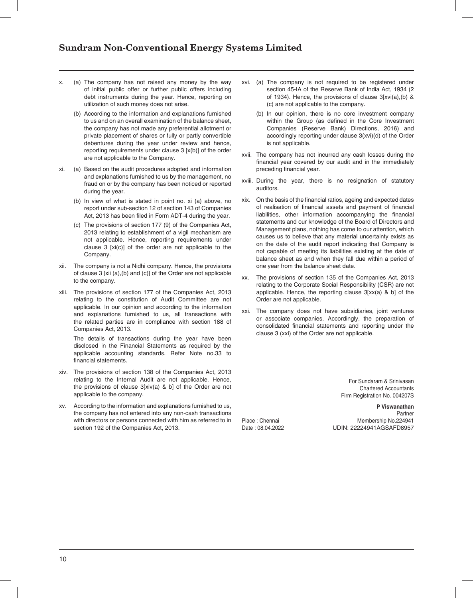- x. (a) The company has not raised any money by the way of initial public offer or further public offers including debt instruments during the year. Hence, reporting on utilization of such money does not arise.
	- (b) According to the information and explanations furnished to us and on an overall examination of the balance sheet, the company has not made any preferential allotment or private placement of shares or fully or partly convertible debentures during the year under review and hence, reporting requirements under clause 3 [x(b)] of the order are not applicable to the Company.
- xi. (a) Based on the audit procedures adopted and information and explanations furnished to us by the management, no fraud on or by the company has been noticed or reported during the year.
	- (b) In view of what is stated in point no. xi (a) above, no report under sub-section 12 of section 143 of Companies Act, 2013 has been filed in Form ADT-4 during the year.
	- (c) The provisions of section 177 (9) of the Companies Act, 2013 relating to establishment of a vigil mechanism are not applicable. Hence, reporting requirements under clause 3 [xi(c)] of the order are not applicable to the Company.
- xii. The company is not a Nidhi company. Hence, the provisions of clause 3 [xii (a),(b) and (c)] of the Order are not applicable to the company.
- xiii. The provisions of section 177 of the Companies Act, 2013 relating to the constitution of Audit Committee are not applicable. In our opinion and according to the information and explanations furnished to us, all transactions with the related parties are in compliance with section 188 of Companies Act, 2013.

 The details of transactions during the year have been disclosed in the Financial Statements as required by the applicable accounting standards. Refer Note no.33 to financial statements.

- xiv. The provisions of section 138 of the Companies Act, 2013 relating to the Internal Audit are not applicable. Hence, the provisions of clause 3[xiv(a) & b] of the Order are not applicable to the company.
- xv. According to the information and explanations furnished to us, the company has not entered into any non-cash transactions with directors or persons connected with him as referred to in section 192 of the Companies Act, 2013.
- xvi. (a) The company is not required to be registered under section 45-IA of the Reserve Bank of India Act, 1934 (2 of 1934). Hence, the provisions of clause 3[xvi(a),(b) & (c) are not applicable to the company.
	- (b) In our opinion, there is no core investment company within the Group (as defined in the Core Investment Companies (Reserve Bank) Directions, 2016) and accordingly reporting under clause 3(xvi)(d) of the Order is not applicable.
- xvii. The company has not incurred any cash losses during the financial year covered by our audit and in the immediately preceding financial year.
- xviii. During the year, there is no resignation of statutory auditors.
- xix. On the basis of the financial ratios, ageing and expected dates of realisation of financial assets and payment of financial liabilities, other information accompanying the financial statements and our knowledge of the Board of Directors and Management plans, nothing has come to our attention, which causes us to believe that any material uncertainty exists as on the date of the audit report indicating that Company is not capable of meeting its liabilities existing at the date of balance sheet as and when they fall due within a period of one year from the balance sheet date.
- xx. The provisions of section 135 of the Companies Act, 2013 relating to the Corporate Social Responsibility (CSR) are not applicable. Hence, the reporting clause 3[xx(a) & b] of the Order are not applicable.
- xxi. The company does not have subsidiaries, joint ventures or associate companies. Accordingly, the preparation of consolidated financial statements and reporting under the clause 3 (xxi) of the Order are not applicable.

For Sundaram & Srinivasan Chartered Accountants Firm Registration No. 004207S

#### **P Viswanathan**

**Partner** Partner and the contract of the contract of the contract of the contract of the contract of the contract of the contract of the contract of the contract of the contract of the contract of the contract of the cont Place : Chennai Membership No.224941 Date : 08.04.2022 UDIN: 22224941AGSAFD8957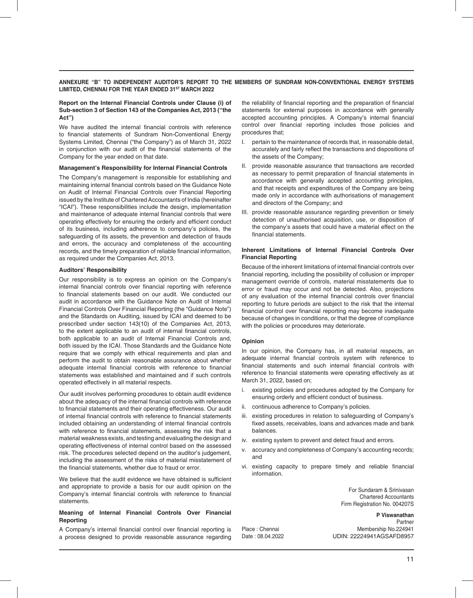#### **ANNEXURE "B" TO INDEPENDENT AUDITOR'S REPORT TO THE MEMBERS OF SUNDRAM NON-CONVENTIONAL ENERGY SYSTEMS**  LIMITED, CHENNAI FOR THE YEAR ENDED 31<sup>ST</sup> MARCH 2022

#### **Report on the Internal Financial Controls under Clause (i) of Sub-section 3 of Section 143 of the Companies Act, 2013 ("the Act")**

We have audited the internal financial controls with reference to financial statements of Sundram Non-Conventional Energy Systems Limited, Chennai ("the Company") as of March 31, 2022 in conjunction with our audit of the financial statements of the Company for the year ended on that date.

#### **Management's Responsibility for Internal Financial Controls**

The Company's management is responsible for establishing and maintaining internal financial controls based on the Guidance Note on Audit of Internal Financial Controls over Financial Reporting issued by the Institute of Chartered Accountants of India (hereinafter "ICAI"). These responsibilities include the design, implementation and maintenance of adequate internal financial controls that were operating effectively for ensuring the orderly and efficient conduct of its business, including adherence to company's policies, the safeguarding of its assets, the prevention and detection of frauds and errors, the accuracy and completeness of the accounting records, and the timely preparation of reliable financial information, as required under the Companies Act, 2013.

#### **Auditors' Responsibility**

Our responsibility is to express an opinion on the Company's internal financial controls over financial reporting with reference to financial statements based on our audit. We conducted our audit in accordance with the Guidance Note on Audit of Internal Financial Controls Over Financial Reporting (the "Guidance Note") and the Standards on Auditing, issued by ICAI and deemed to be prescribed under section 143(10) of the Companies Act, 2013, to the extent applicable to an audit of internal financial controls, both applicable to an audit of Internal Financial Controls and, both issued by the ICAI. Those Standards and the Guidance Note require that we comply with ethical requirements and plan and perform the audit to obtain reasonable assurance about whether adequate internal financial controls with reference to financial statements was established and maintained and if such controls operated effectively in all material respects.

Our audit involves performing procedures to obtain audit evidence about the adequacy of the internal financial controls with reference to financial statements and their operating effectiveness. Our audit of internal financial controls with reference to financial statements included obtaining an understanding of internal financial controls with reference to financial statements, assessing the risk that a material weakness exists, and testing and evaluating the design and operating effectiveness of internal control based on the assessed risk. The procedures selected depend on the auditor's judgement, including the assessment of the risks of material misstatement of the financial statements, whether due to fraud or error.

We believe that the audit evidence we have obtained is sufficient and appropriate to provide a basis for our audit opinion on the Company's internal financial controls with reference to financial statements.

#### **Meaning of Internal Financial Controls Over Financial Reporting**

A Company's internal financial control over financial reporting is a process designed to provide reasonable assurance regarding the reliability of financial reporting and the preparation of financial statements for external purposes in accordance with generally accepted accounting principles. A Company's internal financial control over financial reporting includes those policies and procedures that;

- I. pertain to the maintenance of records that, in reasonable detail, accurately and fairly reflect the transactions and dispositions of the assets of the Company;
- II. provide reasonable assurance that transactions are recorded as necessary to permit preparation of financial statements in accordance with generally accepted accounting principles, and that receipts and expenditures of the Company are being made only in accordance with authorisations of management and directors of the Company; and
- III. provide reasonable assurance regarding prevention or timely detection of unauthorised acquisition, use, or disposition of the company's assets that could have a material effect on the financial statements.

#### **Inherent Limitations of Internal Financial Controls Over Financial Reporting**

Because of the inherent limitations of internal financial controls over financial reporting, including the possibility of collusion or improper management override of controls, material misstatements due to error or fraud may occur and not be detected. Also, projections of any evaluation of the internal financial controls over financial reporting to future periods are subject to the risk that the internal financial control over financial reporting may become inadequate because of changes in conditions, or that the degree of compliance with the policies or procedures may deteriorate.

#### **Opinion**

In our opinion, the Company has, in all material respects, an adequate internal financial controls system with reference to financial statements and such internal financial controls with reference to financial statements were operating effectively as at March 31, 2022, based on;

- i. existing policies and procedures adopted by the Company for ensuring orderly and efficient conduct of business.
- ii. continuous adherence to Company's policies.
- iii. existing procedures in relation to safeguarding of Company's fixed assets, receivables, loans and advances made and bank balances.
- iv. existing system to prevent and detect fraud and errors.
- v. accuracy and completeness of Company's accounting records; and
- vi. existing capacity to prepare timely and reliable financial information.

For Sundaram & Srinivasan Chartered Accountants Firm Registration No. 004207S

**P Viswanathan Partner** Partner *Partner* Partner Place : Chennai Membership No.224941 Date : 08.04.2022 UDIN: 22224941AGSAFD8957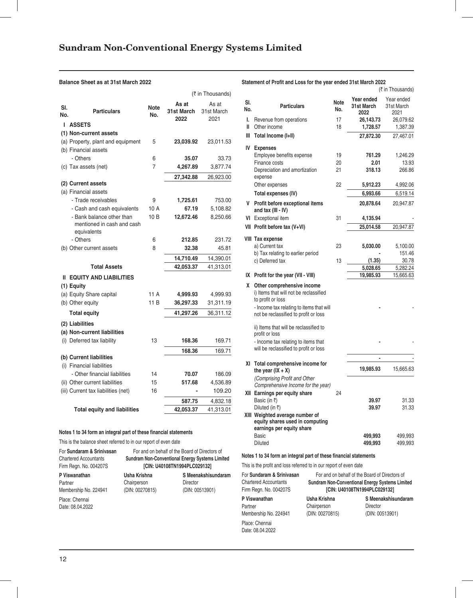#### **Balance Sheet as at 31st March 2022**

|  | Statement of Profit and Loss for the year ended 31st March 2022 |
|--|-----------------------------------------------------------------|
|--|-----------------------------------------------------------------|

|            |                                                         |                    |                             | (₹ in Thousands)            |
|------------|---------------------------------------------------------|--------------------|-----------------------------|-----------------------------|
| SI.<br>No. | <b>Particulars</b>                                      | <b>Note</b><br>No. | As at<br>31st March<br>2022 | As at<br>31st March<br>2021 |
|            | <b>I ASSETS</b>                                         |                    |                             |                             |
|            | (1) Non-current assets                                  |                    |                             |                             |
|            | (a) Property, plant and equipment                       | 5                  | 23,039.92                   | 23,011.53                   |
|            | (b) Financial assets                                    |                    |                             |                             |
|            | - Others                                                | 6                  | 35.07                       | 33.73                       |
|            | (c) Tax assets (net)                                    | 7                  | 4,267.89                    | 3,877.74                    |
|            |                                                         |                    | 27,342.88                   | 26,923.00                   |
|            | (2) Current assets                                      |                    |                             |                             |
|            | (a) Financial assets                                    |                    |                             |                             |
|            | - Trade receivables                                     | 9                  | 1,725.61                    | 753.00                      |
|            | - Cash and cash equivalents                             | 10 A               | 67.19                       | 5,108.82                    |
|            | - Bank balance other than<br>mentioned in cash and cash | 10 B               | 12,672.46                   | 8,250.66                    |
|            | equivalents                                             |                    |                             |                             |
|            | - Others                                                | 6                  | 212.85                      | 231.72                      |
|            | (b) Other current assets                                | 8                  | 32.38                       | 45.81                       |
|            |                                                         |                    | 14,710.49                   | 14,390.01                   |
|            | <b>Total Assets</b>                                     |                    | 42,053.37                   | 41,313.01                   |
|            |                                                         |                    |                             |                             |
|            | <b>II EQUITY AND LIABILITIES</b><br>(1) Equity          |                    |                             |                             |
|            | (a) Equity Share capital                                | 11 A               | 4,999.93                    | 4,999.93                    |
|            | (b) Other equity                                        | 11 B               | 36,297.33                   | 31,311.19                   |
|            |                                                         |                    |                             |                             |
|            | <b>Total equity</b>                                     |                    | 41,297.26                   | 36,311.12                   |
|            | (2) Liabilities                                         |                    |                             |                             |
|            | (a) Non-current liabilities                             |                    |                             |                             |
|            | (i) Deferred tax liability                              | 13                 | 168.36                      | 169.71                      |
|            |                                                         |                    | 168.36                      | 169.71                      |
|            | (b) Current liabilities                                 |                    |                             |                             |
|            | (i) Financial liabilities                               |                    |                             |                             |
|            | - Other financial liabilities                           | 14                 | 70.07                       | 186.09                      |
|            | (ii) Other current liabilities                          | 15                 | 517.68                      | 4,536.89                    |
|            | (iii) Current tax liabilities (net)                     | 16                 |                             | 109.20                      |
|            |                                                         |                    | 587.75                      | 4,832.18                    |
|            | <b>Total equity and liabilities</b>                     |                    | 42,053.37                   | 41,313.01                   |

# **Notes 1 to 34 form an integral part of these financial statements**

This is the balance sheet referred to in our report of even date

| For Sundaram & Srinivasan    | For and on behalf of the Board of Directors of  |                     |  |
|------------------------------|-------------------------------------------------|---------------------|--|
| <b>Chartered Accountants</b> | Sundram Non-Conventional Energy Systems Limited |                     |  |
| Firm Regn. No. 004207S       | [CIN: U40108TN1994PLC029132]                    |                     |  |
| P Viswanathan                | Usha Krishna                                    | S Meenakshisundaram |  |
| Partner                      | Chairperson                                     | Director            |  |
| Membership No. 224941        | (DIN: 00270815)                                 | (DIN: 00513901)     |  |

|            |                                                                                                                                                                                |                    |                                  | (₹ in Thousands)                 |
|------------|--------------------------------------------------------------------------------------------------------------------------------------------------------------------------------|--------------------|----------------------------------|----------------------------------|
| SI.<br>No. | <b>Particulars</b>                                                                                                                                                             | <b>Note</b><br>No. | Year ended<br>31st March<br>2022 | Year ended<br>31st March<br>2021 |
| ı.         | Revenue from operations                                                                                                                                                        | 17                 | 26,143.73                        | 26,079.62                        |
| Ш          | Other income                                                                                                                                                                   | 18                 | 1,728.57                         | 1,387.39                         |
| Ш          | Total Income (I+II)                                                                                                                                                            |                    | 27,872.30                        | 27,467.01                        |
| IV         | <b>Expenses</b>                                                                                                                                                                |                    |                                  |                                  |
|            | Employee benefits expense                                                                                                                                                      | 19                 | 761.29                           | 1,246.29                         |
|            | Finance costs                                                                                                                                                                  | 20                 | 2.01                             | 13.93                            |
|            | Depreciation and amortization<br>expense                                                                                                                                       | 21                 | 318.13                           | 266.86                           |
|            | Other expenses                                                                                                                                                                 | 22                 | 5,912.23                         | 4,992.06                         |
|            | Total expenses (IV)                                                                                                                                                            |                    | 6,993.66                         | 6,519.14                         |
|            | V Profit before exceptional items<br>and tax (III - IV)                                                                                                                        |                    | 20,878.64                        | 20,947.87                        |
|            | <b>VI</b> Exceptional item                                                                                                                                                     | 31                 | 4,135.94                         |                                  |
|            | VII Profit before tax (V+VI)                                                                                                                                                   |                    | 25,014.58                        | 20,947.87                        |
|            |                                                                                                                                                                                |                    |                                  |                                  |
|            | <b>VIII Tax expense</b><br>a) Current tax                                                                                                                                      | 23                 | 5,030.00                         | 5,100.00                         |
|            | b) Tax relating to earlier period                                                                                                                                              |                    |                                  | 151.46                           |
|            | c) Deferred tax                                                                                                                                                                | 13                 | (1.35)                           | 30.78                            |
|            |                                                                                                                                                                                |                    | 5,028.65                         | 5,282.24                         |
|            | IX Profit for the year (VII - VIII)                                                                                                                                            |                    | 19,985.93                        | 15,665.63                        |
| x          | Other comprehensive income<br>i) Items that will not be reclassified<br>to profit or loss<br>- Income tax relating to items that will<br>not be reclassified to profit or loss |                    |                                  |                                  |
|            | ii) Items that will be reclassified to<br>profit or loss                                                                                                                       |                    |                                  |                                  |
|            | - Income tax relating to items that<br>will be reclassified to profit or loss                                                                                                  |                    |                                  |                                  |
|            | XI Total comprehensive income for                                                                                                                                              |                    | $\overline{a}$                   |                                  |
|            | the year $(IX + X)$                                                                                                                                                            |                    | 19,985.93                        | 15,665.63                        |
|            | (Comprising Profit and Other<br>Comprehensive Income for the year)                                                                                                             |                    |                                  |                                  |
|            | XII Earnings per equity share                                                                                                                                                  | 24                 |                                  |                                  |
|            | Basic (in $\bar{z}$ )                                                                                                                                                          |                    | 39.97                            | 31.33                            |
|            | Diluted (in ₹)                                                                                                                                                                 |                    | 39.97                            | 31.33                            |
|            | XIII Weighted average number of<br>equity shares used in computing<br>earnings per equity share                                                                                |                    |                                  |                                  |
|            | <b>Basic</b>                                                                                                                                                                   |                    | 499,993                          | 499,993                          |
|            | <b>Diluted</b>                                                                                                                                                                 |                    | 499,993                          | 499,993                          |
|            | Notes 1 to 34 form an integral part of these financial statements                                                                                                              |                    |                                  |                                  |
|            | This is the profit and loss referred to in our report of even date                                                                                                             |                    |                                  |                                  |

| For Sundaram & Srinivasan          | For and on behalf of the Board of Directors of  |                     |  |
|------------------------------------|-------------------------------------------------|---------------------|--|
| <b>Chartered Accountants</b>       | Sundram Non-Conventional Energy Systems Limited |                     |  |
| Firm Regn. No. 004207S             | [CIN: U40108TN1994PLC029132]                    |                     |  |
| P Viswanathan                      | Usha Krishna                                    | S Meenakshisundaram |  |
| Partner                            | Chairperson                                     | Director            |  |
| Membership No. 224941              | (DIN: 00270815)                                 | (DIN: 00513901)     |  |
| Place: Chennai<br>Date: 08.04.2022 |                                                 |                     |  |

Place: Chennai Date: 08.04.2022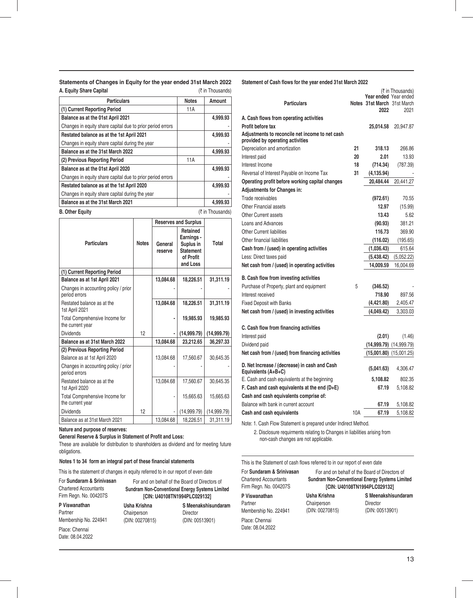| Statements of Changes in Equity for the year ended 31st March 2022 |                  |
|--------------------------------------------------------------------|------------------|
| A. Equity Share Capital                                            | (₹ in Thousands) |

| <b>Particulars</b>                                         | <b>Notes</b> | Amount   |
|------------------------------------------------------------|--------------|----------|
| (1) Current Reporting Period                               | 11A          |          |
| Balance as at the 01st April 2021                          |              | 4,999.93 |
| Changes in equity share capital due to prior period errors |              |          |
| Restated balance as at the 1st April 2021                  |              | 4,999.93 |
| Changes in equity share capital during the year            |              |          |
| Balance as at the 31st March 2022                          |              | 4,999.93 |
| (2) Previous Reporting Period                              | 11A          |          |
| Balance as at the 01st April 2020                          |              | 4,999.93 |
| Changes in equity share capital due to prior period errors |              |          |
| Restated balance as at the 1st April 2020                  |              | 4.999.93 |
| Changes in equity share capital during the year            |              |          |
| Balance as at the 31st March 2021                          |              | 4.999.93 |
|                                                            |              |          |

| <b>B. Other Equity</b> |                             | (₹ in Thousands) |
|------------------------|-----------------------------|------------------|
|                        | <b>Reserves and Surplus</b> |                  |

| <b>Particulars</b>                                    | <b>Notes</b> | General<br>reserve | Retained<br>Earnings -<br>Suplus in<br><b>Statement</b><br>of Profit<br>and Loss | Total       |
|-------------------------------------------------------|--------------|--------------------|----------------------------------------------------------------------------------|-------------|
| (1) Current Reporting Period                          |              |                    |                                                                                  |             |
| Balance as at 1st April 2021                          |              | 13,084.68          | 18,226.51                                                                        | 31,311.19   |
| Changes in accounting policy / prior<br>period errors |              |                    |                                                                                  |             |
| Restated balance as at the<br>1st April 2021          |              | 13,084.68          | 18,226.51                                                                        | 31,311.19   |
| Total Comprehensive Income for<br>the current year    |              |                    | 19,985.93                                                                        | 19,985.93   |
| <b>Dividends</b>                                      | 12           |                    | (14,999.79)                                                                      | (14,999.79) |
| Balance as at 31st March 2022                         |              | 13,084.68          | 23,212.65                                                                        | 36,297.33   |
| (2) Previous Reporting Period                         |              |                    |                                                                                  |             |
| Balance as at 1st April 2020                          |              | 13,084.68          | 17,560.67                                                                        | 30,645.35   |
| Changes in accounting policy / prior<br>period errors |              |                    |                                                                                  |             |
| Restated balance as at the<br>1st April 2020          |              | 13,084.68          | 17,560.67                                                                        | 30,645.35   |
| Total Comprehensive Income for<br>the current year    |              |                    | 15,665.63                                                                        | 15,665.63   |
| <b>Dividends</b>                                      | 12           |                    | (14,999.79)                                                                      | (14,999.79) |
| Balance as at 31st March 2021                         |              | 13,084.68          | 18,226.51                                                                        | 31,311.19   |

#### **Nature and purpose of reserves:**

General Reserve & Surplus in Statement of Profit and Loss:

These are available for distribution to shareholders as dividend and for meeting future obligations.

## **Notes 1 to 34 form an integral part of these financial statements**

This is the statement of changes in equity referred to in our report of even date

| For Sundaram & Srinivasan    | For and on behalf of the Board of Directors of         |                     |  |
|------------------------------|--------------------------------------------------------|---------------------|--|
| <b>Chartered Accountants</b> | <b>Sundram Non-Conventional Energy Systems Limited</b> |                     |  |
| Firm Regn. No. 004207S       | [CIN: U40108TN1994PLC029132]                           |                     |  |
| P Viswanathan                | Usha Krishna                                           | S Meenakshisundaram |  |
| Partner                      | Chairperson                                            | Director            |  |

(DIN: 00513901)

Partner Membership No. 224941

Place: Chennai Date: 08.04.2022 (DIN: 00270815) Statement of Cash flows for the year ended 31st March 2022

| <b>Particulars</b>                                                                  |     | Year ended Year ended<br>Notes 31st March 31st March<br>2022 | (₹ in Thousands)<br>2021    |
|-------------------------------------------------------------------------------------|-----|--------------------------------------------------------------|-----------------------------|
| A. Cash flows from operating activities                                             |     |                                                              |                             |
| Profit before tax                                                                   |     | 25,014.58                                                    | 20,947.87                   |
| Adiustments to reconcile net income to net cash<br>provided by operating activities |     |                                                              |                             |
| Depreciation and amortization                                                       | 21  | 318.13                                                       | 266.86                      |
| Interest paid                                                                       | 20  | 2.01                                                         | 13.93                       |
| Interest Income                                                                     | 18  | (714.34)                                                     | (787.39)                    |
| Reversal of Interest Payable on Income Tax                                          | 31  | (4, 135.94)                                                  |                             |
| Operating profit before working capital changes                                     |     | 20,484.44                                                    | 20,441.27                   |
| <b>Adjustments for Changes in:</b>                                                  |     |                                                              |                             |
| Trade receivables                                                                   |     | (972.61)                                                     | 70.55                       |
| Other Financial assets                                                              |     | 12.97                                                        | (15.99)                     |
| Other Current assets                                                                |     | 13.43                                                        | 5.62                        |
| Loans and Advances                                                                  |     | (90.93)                                                      | 381.21                      |
| Other Current liabilities                                                           |     | 116.73                                                       | 369.90                      |
| Other financial liabilities                                                         |     | (116.02)                                                     | (195.65)                    |
| Cash from / (used) in operating activities                                          |     | (1,036.43)                                                   | 615.64                      |
| Less: Direct taxes paid                                                             |     | (5,438.42)                                                   | (5,052.22)                  |
| Net cash from / (used) in operating activities                                      |     | 14,009.59                                                    | 16,004.69                   |
| B. Cash flow from investing activities                                              |     |                                                              |                             |
| Purchase of Property, plant and equipment                                           | 5   | (346.52)                                                     |                             |
| Interest received                                                                   |     | 718.90                                                       | 897.56                      |
| <b>Fixed Deposit with Banks</b>                                                     |     | (4, 421.80)                                                  | 2,405.47                    |
| Net cash from / (used) in investing activities                                      |     | (4,049.42)                                                   | 3,303.03                    |
| C. Cash flow from financing activities                                              |     |                                                              |                             |
| Interest paid                                                                       |     | (2.01)                                                       | (1.46)                      |
| Dividend paid                                                                       |     |                                                              | $(14,999.79)$ $(14,999.79)$ |
| Net cash from / (used) from financing activities                                    |     |                                                              | $(15,001.80)$ $(15,001.25)$ |
|                                                                                     |     |                                                              |                             |
| D. Net Increase / (decrease) in cash and Cash<br>Equivalents (A+B+C)                |     | (5,041.63)                                                   | 4,306.47                    |
| E. Cash and cash equivalents at the beginning                                       |     | 5,108.82                                                     | 802.35                      |
| F. Cash and cash equivalents at the end (D+E)                                       |     | 67.19                                                        | 5,108.82                    |
| Cash and cash equivalents comprise of:                                              |     |                                                              |                             |
| Balance with bank in current account                                                |     | 67.19                                                        | 5,108.82                    |
| Cash and cash equivalents                                                           | 10A | 67.19                                                        | 5,108.82                    |
|                                                                                     |     |                                                              |                             |

Note: 1. Cash Flow Statement is prepared under Indirect Method.

 2. Disclosure requirments relating to Changes in liabilities arising from non-cash changes are not applicable.

This is the Statement of cash flows referred to in our report of even date

| For Sundaram & Srinivasan          | For and on behalf of the Board of Directors of  |                     |  |
|------------------------------------|-------------------------------------------------|---------------------|--|
| <b>Chartered Accountants</b>       | Sundram Non-Conventional Energy Systems Limited |                     |  |
| Firm Regn. No. 004207S             | [CIN: U40108TN1994PLC029132]                    |                     |  |
| P Viswanathan                      | Usha Krishna                                    | S Meenakshisundaram |  |
| Partner                            | Chairperson                                     | Director            |  |
| Membership No. 224941              | (DIN: 00270815)                                 | (DIN: 00513901)     |  |
| Place: Chennai<br>Date: 08.04.2022 |                                                 |                     |  |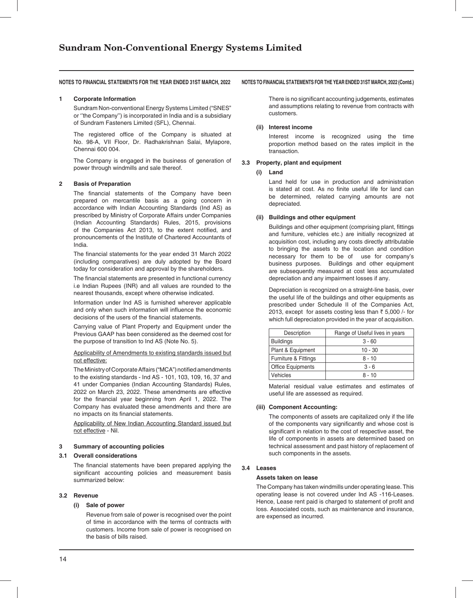**NOTES TO FINANCIAL STATEMENTS FOR THE YEAR ENDED 31ST MARCH, 2022 NOTES TO FINANCIAL STATEMENTS FOR THE YEAR ENDED 31ST MARCH, 2022 (Contd.)**

#### **1 Corporate Information**

 Sundram Non-conventional Energy Systems Limited ("SNES" or ''the Company'') is incorporated in India and is a subsidiary of Sundram Fasteners Limited (SFL), Chennai.

The registered office of the Company is situated at No. 98-A, VII Floor, Dr. Radhakrishnan Salai, Mylapore, Chennai 600 004.

 The Company is engaged in the business of generation of power through windmills and sale thereof.

#### **2 Basis of Preparation**

The financial statements of the Company have been prepared on mercantile basis as a going concern in accordance with Indian Accounting Standards (Ind AS) as prescribed by Ministry of Corporate Affairs under Companies (Indian Accounting Standards) Rules, 2015, provisions of the Companies Act 2013, to the extent notified, and pronouncements of the Institute of Chartered Accountants of India.

The financial statements for the year ended 31 March 2022 (including comparatives) are duly adopted by the Board today for consideration and approval by the shareholders.

The financial statements are presented in functional currency i.e Indian Rupees (INR) and all values are rounded to the nearest thousands, except where otherwise indicated.

 Information under Ind AS is furnished wherever applicable and only when such information will influence the economic decisions of the users of the financial statements.

 Carrying value of Plant Property and Equipment under the Previous GAAP has been considered as the deemed cost for the purpose of transition to Ind AS (Note No. 5).

#### Applicability of Amendments to existing standards issued but not effective:

The Ministry of Corporate Affairs ("MCA") notified amendments to the existing standards - Ind AS - 101, 103, 109, 16, 37 and 41 under Companies (Indian Accounting Standards) Rules, 2022 on March 23, 2022. These amendments are effective for the financial year beginning from April 1, 2022. The Company has evaluated these amendments and there are no impacts on its financial statements.

 Applicability of New Indian Accounting Standard issued but not effective - Nil.

## **3 Summary of accounting policies**

#### **3.1 Overall considerations**

The financial statements have been prepared applying the significant accounting policies and measurement basis summarized below:

#### **3.2 Revenue**

#### **(i) Sale of power**

 Revenue from sale of power is recognised over the point of time in accordance with the terms of contracts with customers. Income from sale of power is recognised on the basis of bills raised.

There is no significant accounting judgements, estimates and assumptions relating to revenue from contracts with customers.

#### **(ii) Interest income**

 Interest income is recognized using the time proportion method based on the rates implicit in the transaction.

#### **3.3 Property, plant and equipment**

# **(i) Land**

 Land held for use in production and administration is stated at cost. As no finite useful life for land can be determined, related carrying amounts are not depreciated.

#### **(ii) Buildings and other equipment**

Buildings and other equipment (comprising plant, fittings and furniture, vehicles etc.) are initially recognized at acquisition cost, including any costs directly attributable to bringing the assets to the location and condition necessary for them to be of use for company's business purposes. Buildings and other equipment are subsequently measured at cost less accumulated depreciation and any impairment losses if any.

 Depreciation is recognized on a straight-line basis, over the useful life of the buildings and other equipments as prescribed under Schedule II of the Companies Act, 2013, except for assets costing less than  $\bar{z}$  5,000 /- for which full depreciaton provided in the year of acquisition.

| Description              | Range of Useful lives in years |
|--------------------------|--------------------------------|
| <b>Buildings</b>         | $3 - 60$                       |
| Plant & Equipment        | $10 - 30$                      |
| Furniture & Fittings     | 8 - 10                         |
| <b>Office Equipments</b> | $3 - 6$                        |
| Vehicles                 | $8 - 10$                       |

 Material residual value estimates and estimates of useful life are assessed as required.

#### **(iii) Component Accounting:**

 The components of assets are capitalized only if the life of the components vary significantly and whose cost is significant in relation to the cost of respective asset, the life of components in assets are determined based on technical assessment and past history of replacement of such components in the assets.

#### **3.4 Leases**

#### **Assets taken on lease**

 The Company has taken windmills under operating lease. This operating lease is not covered under Ind AS -116-Leases. Hence, Lease rent paid is charged to statement of profit and loss. Associated costs, such as maintenance and insurance, are expensed as incurred.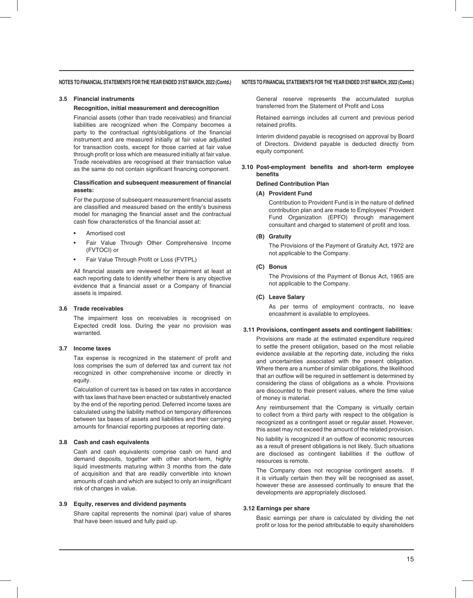#### **NOTES TO FINANCIAL STATEMENTS FOR THE YEAR ENDED 31ST MARCH, 2022 (Contd.) NOTES TO FINANCIAL STATEMENTS FOR THE YEAR ENDED 31ST MARCH, 2022 (Contd.)**

#### **3.5 Financial instruments**

#### **Recognition, initial measurement and derecognition**

Financial assets (other than trade receivables) and financial liabilities are recognized when the Company becomes a party to the contractual rights/obligations of the financial instrument and are measured initially at fair value adjusted for transaction costs, except for those carried at fair value through profit or loss which are measured initially at fair value. Trade receivables are recognised at their transaction value as the same do not contain significant financing component.

#### **Classification and subsequent measurement of financial assets:**

For the purpose of subsequent measurement financial assets are classified and measured based on the entity's business model for managing the financial asset and the contractual cash flow characteristics of the financial asset at:

- Amortised cost
- Fair Value Through Other Comprehensive Income (FVTOCI) or
- Fair Value Through Profit or Loss (FVTPL)

All financial assets are reviewed for impairment at least at each reporting date to identify whether there is any objective evidence that a financial asset or a Company of financial assets is impaired.

#### **3.6 Trade receivables**

 The impairment loss on receivables is recognised on Expected credit loss. During the year no provision was warranted.

#### **3.7 Income taxes**

Tax expense is recognized in the statement of profit and loss comprises the sum of deferred tax and current tax not recognized in other comprehensive income or directly in equity.

 Calculation of current tax is based on tax rates in accordance with tax laws that have been enacted or substantively enacted by the end of the reporting period. Deferred income taxes are calculated using the liability method on temporary differences between tax bases of assets and liabilities and their carrying amounts for financial reporting purposes at reporting date.

#### **3.8 Cash and cash equivalents**

 Cash and cash equivalents comprise cash on hand and demand deposits, together with other short-term, highly liquid investments maturing within 3 months from the date of acquisition and that are readily convertible into known amounts of cash and which are subject to only an insignificant risk of changes in value.

#### **3.9 Equity, reserves and dividend payments**

 Share capital represents the nominal (par) value of shares that have been issued and fully paid up.

 General reserve represents the accumulated surplus transferred from the Statement of Profit and Loss

 Retained earnings includes all current and previous period retained profits.

 Interim dividend payable is recognised on approval by Board of Directors. Dividend payable is deducted directly from equity component.

#### 3.10 Post-employment benefits and short-term employee **benefi ts**

### **Defined Contribution Plan**

#### **(A) Provident Fund**

Contribution to Provident Fund is in the nature of defined contribution plan and are made to Employees' Provident Fund Organization (EPFO) through management consultant and charged to statement of profit and loss.

#### **(B) Gratuity**

 The Provisions of the Payment of Gratuity Act, 1972 are not applicable to the Company.

#### **(C) Bonus**

 The Provisions of the Payment of Bonus Act, 1965 are not applicable to the Company.

#### **(C) Leave Salary**

 As per terms of employment contracts, no leave encashment is available to employees.

#### **3.11 Provisions, contingent assets and contingent liabilities:**

 Provisions are made at the estimated expenditure required to settle the present obligation, based on the most reliable evidence available at the reporting date, including the risks and uncertainties associated with the present obligation. Where there are a number of similar obligations, the likelihood that an outflow will be required in settlement is determined by considering the class of obligations as a whole. Provisions are discounted to their present values, where the time value of money is material.

 Any reimbursement that the Company is virtually certain to collect from a third party with respect to the obligation is recognized as a contingent asset or regular asset. However, this asset may not exceed the amount of the related provision.

No liability is recognized if an outflow of economic resources as a result of present obligations is not likely. Such situations are disclosed as contingent liabilities if the outflow of resources is remote.

 The Company does not recognise contingent assets. If it is virtually certain then they will be recognised as asset, however these are assessed continually to ensure that the developments are appropriately disclosed.

#### **3.12 Earnings per share**

 Basic earnings per share is calculated by dividing the net profit or loss for the period attributable to equity shareholders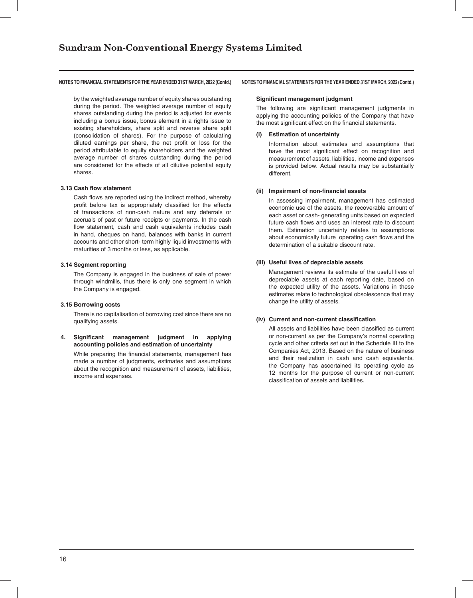by the weighted average number of equity shares outstanding during the period. The weighted average number of equity shares outstanding during the period is adjusted for events including a bonus issue, bonus element in a rights issue to existing shareholders, share split and reverse share split (consolidation of shares). For the purpose of calculating diluted earnings per share, the net profit or loss for the period attributable to equity shareholders and the weighted average number of shares outstanding during the period are considered for the effects of all dilutive potential equity shares.

#### **3.13 Cash flow statement**

Cash flows are reported using the indirect method, whereby profit before tax is appropriately classified for the effects of transactions of non-cash nature and any deferrals or accruals of past or future receipts or payments. In the cash flow statement, cash and cash equivalents includes cash in hand, cheques on hand, balances with banks in current accounts and other short- term highly liquid investments with maturities of 3 months or less, as applicable.

#### **3.14 Segment reporting**

 The Company is engaged in the business of sale of power through windmills, thus there is only one segment in which the Company is engaged.

#### **3.15 Borrowing costs**

 There is no capitalisation of borrowing cost since there are no qualifying assets.

4. Significant management judgment in applying **accounting policies and estimation of uncertainty**

While preparing the financial statements, management has made a number of judgments, estimates and assumptions about the recognition and measurement of assets, liabilities, income and expenses.

#### **NOTES TO FINANCIAL STATEMENTS FOR THE YEAR ENDED 31ST MARCH, 2022 (Contd.) NOTES TO FINANCIAL STATEMENTS FOR THE YEAR ENDED 31ST MARCH, 2022 (Contd.)**

#### **Significant management judgment**

The following are significant management judgments in applying the accounting policies of the Company that have the most significant effect on the financial statements.

#### **(i) Estimation of uncertainty**

 Information about estimates and assumptions that have the most significant effect on recognition and measurement of assets, liabilities, income and expenses is provided below. Actual results may be substantially different.

#### (ii) Impairment of non-financial assets

 In assessing impairment, management has estimated economic use of the assets, the recoverable amount of each asset or cash- generating units based on expected future cash flows and uses an interest rate to discount them. Estimation uncertainty relates to assumptions about economically future operating cash flows and the determination of a suitable discount rate.

#### **(iii) Useful lives of depreciable assets**

 Management reviews its estimate of the useful lives of depreciable assets at each reporting date, based on the expected utility of the assets. Variations in these estimates relate to technological obsolescence that may change the utility of assets.

#### (iv) Current and non-current classification

All assets and liabilities have been classified as current or non-current as per the Company's normal operating cycle and other criteria set out in the Schedule III to the Companies Act, 2013. Based on the nature of business and their realization in cash and cash equivalents, the Company has ascertained its operating cycle as 12 months for the purpose of current or non-current classification of assets and liabilities.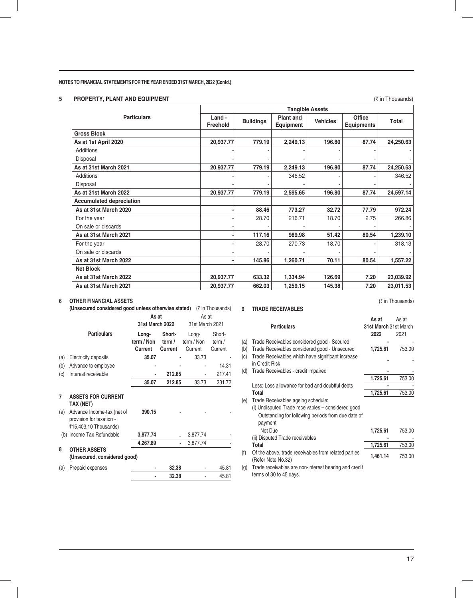# **NOTES TO FINANCIAL STATEMENTS FOR THE YEAR ENDED 31ST MARCH, 2022 (Contd.)**

# **5 PROPERTY, PLANT AND EQUIPMENT** (₹ in Thousands)

|                                 | <b>Tangible Assets</b> |                  |                               |                 |                             |           |  |  |
|---------------------------------|------------------------|------------------|-------------------------------|-----------------|-----------------------------|-----------|--|--|
| <b>Particulars</b>              | Land -<br>Freehold     | <b>Buildings</b> | <b>Plant and</b><br>Equipment | <b>Vehicles</b> | Office<br><b>Equipments</b> | Total     |  |  |
| <b>Gross Block</b>              |                        |                  |                               |                 |                             |           |  |  |
| As at 1st April 2020            | 20,937.77              | 779.19           | 2,249.13                      | 196.80          | 87.74                       | 24,250.63 |  |  |
| Additions                       |                        |                  |                               |                 |                             |           |  |  |
| Disposal                        |                        |                  |                               |                 |                             |           |  |  |
| As at 31st March 2021           | 20,937.77              | 779.19           | 2,249.13                      | 196.80          | 87.74                       | 24,250.63 |  |  |
| Additions                       |                        |                  | 346.52                        |                 |                             | 346.52    |  |  |
| Disposal                        |                        |                  |                               |                 |                             |           |  |  |
| As at 31st March 2022           | 20,937.77              | 779.19           | 2,595.65                      | 196.80          | 87.74                       | 24,597.14 |  |  |
| <b>Accumulated depreciation</b> |                        |                  |                               |                 |                             |           |  |  |
| As at 31st March 2020           |                        | 88.46            | 773.27                        | 32.72           | 77.79                       | 972.24    |  |  |
| For the year                    |                        | 28.70            | 216.71                        | 18.70           | 2.75                        | 266.86    |  |  |
| On sale or discards             |                        |                  |                               |                 |                             |           |  |  |
| As at 31st March 2021           |                        | 117.16           | 989.98                        | 51.42           | 80.54                       | 1,239.10  |  |  |
| For the year                    |                        | 28.70            | 270.73                        | 18.70           |                             | 318.13    |  |  |
| On sale or discards             |                        |                  |                               |                 |                             |           |  |  |
| As at 31st March 2022           |                        | 145.86           | 1,260.71                      | 70.11           | 80.54                       | 1,557.22  |  |  |
| <b>Net Block</b>                |                        |                  |                               |                 |                             |           |  |  |
| As at 31st March 2022           | 20,937.77              | 633.32           | 1,334.94                      | 126.69          | 7.20                        | 23,039.92 |  |  |
| As at 31st March 2021           | 20,937.77              | 662.03           | 1,259.15                      | 145.38          | 7.20                        | 23,011.53 |  |  |

# **6 OTHER FINANCIAL ASSETS**

|     | (Unsecured considered good unless otherwise stated) (₹ in Thousands)            |                                |                               |                                |                               |  |
|-----|---------------------------------------------------------------------------------|--------------------------------|-------------------------------|--------------------------------|-------------------------------|--|
|     |                                                                                 | As at<br>31st March 2022       |                               | As at<br>31st March 2021       |                               |  |
|     | <b>Particulars</b>                                                              | Long-<br>term / Non<br>Current | Short-<br>term $/$<br>Current | Long-<br>term / Non<br>Current | Short-<br>term $/$<br>Current |  |
| (a) | Electricity deposits                                                            | 35.07                          |                               | 33.73                          |                               |  |
| (b) | Advance to employee                                                             |                                |                               |                                | 14.31                         |  |
| (c) | Interest receivable                                                             |                                | 212.85                        |                                | 217.41                        |  |
|     |                                                                                 | 35.07                          | 212.85                        | 33.73                          | 231.72                        |  |
| 7   | <b>ASSETS FOR CURRENT</b><br>TAX (NET)                                          |                                |                               |                                |                               |  |
| (a) | Advance Income-tax (net of<br>provision for taxation -<br>₹15,403.10 Thousands) | 390.15                         |                               |                                |                               |  |
|     | (b) Income Tax Refundable                                                       | 3,877.74                       |                               | 3,877.74                       |                               |  |
|     |                                                                                 | 4,267.89                       |                               | 3,877.74                       |                               |  |
| 8   | <b>OTHER ASSETS</b><br>(Unsecured, considered good)                             |                                |                               |                                |                               |  |
| (a) | Prepaid expenses                                                                |                                | 32.38                         |                                | 45.81                         |  |
|     |                                                                                 |                                | 32.38                         |                                | 45.81                         |  |

#### **9 TRADE RECEIVABLES**

**Particulars As at 31st March**  31st March **2022** As at 2021 (a) Trade Receivables considered good - Secured<br>(b) Trade Receivables considered good - Unsecured **1,725.61** 753.00 (b) Trade Receivables considered good - Unsecured (c) Trade Receivables which have significant increase in Credit Risk (d) Trade Receivables - credit impaired  **1,725.61** 753.00 Less: Loss allowance for bad and doubtful debts **Total 1,725.61** 753.00 (e) Trade Receivables ageing schedule: (i) Undisputed Trade receivables – considered good Outstanding for following periods from due date of payment Not Due **1,725.61** 753.00 (ii) Disputed Trade receivables<br>
Total **The Contract Contract Contract Contract Contract Contract Contract Contract Contract Contract Contract Contract Contract Contract Contract Contract Contract Contract Contract Contrac Total** 1,725.61 (f) Of the above, trade receivables from related parties Of the above, that electronics non-related parties 1,461.14 753.00<br>(Refer Note No.32) (g) Trade receivables are non-interest bearing and credit

terms of 30 to 45 days.

(₹ in Thousands)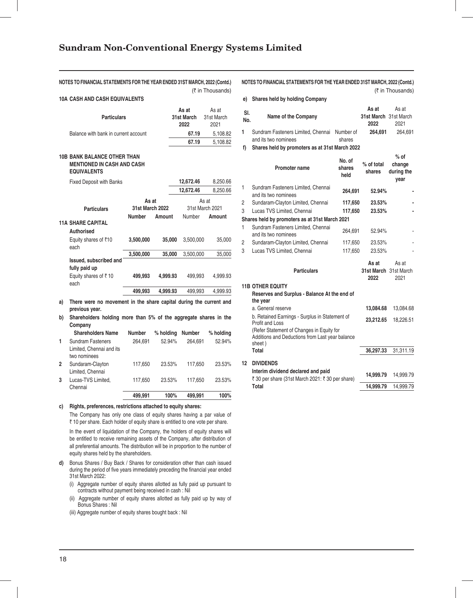| NOTES TO FINANCIAL STATEMENTS FOR THE YEAR ENDED 31ST MARCH, 2022 (Contd.)<br>(₹ in Thousands) |                                                                                                                                                                                                                         |                        |           |      |                             |                             |  |  |  |  |  |
|------------------------------------------------------------------------------------------------|-------------------------------------------------------------------------------------------------------------------------------------------------------------------------------------------------------------------------|------------------------|-----------|------|-----------------------------|-----------------------------|--|--|--|--|--|
|                                                                                                | <b>10A CASH AND CASH EQUIVALENTS</b>                                                                                                                                                                                    |                        |           |      |                             |                             |  |  |  |  |  |
|                                                                                                | <b>Particulars</b>                                                                                                                                                                                                      |                        |           |      | As at<br>31st March<br>2022 | As at<br>31st March<br>2021 |  |  |  |  |  |
|                                                                                                | Balance with bank in current account                                                                                                                                                                                    |                        |           |      | 67.19                       | 5,108.82                    |  |  |  |  |  |
|                                                                                                |                                                                                                                                                                                                                         |                        |           |      | 67.19                       | 5,108.82                    |  |  |  |  |  |
| <b>10B BANK BALANCE OTHER THAN</b><br><b>MENTIONED IN CASH AND CASH</b><br><b>EQUIVALENTS</b>  |                                                                                                                                                                                                                         |                        |           |      |                             |                             |  |  |  |  |  |
|                                                                                                | <b>Fixed Deposit with Banks</b>                                                                                                                                                                                         |                        |           |      | 12,672.46                   | 8,250.66                    |  |  |  |  |  |
|                                                                                                |                                                                                                                                                                                                                         |                        |           |      | 12.672.46                   | 8.250.66                    |  |  |  |  |  |
|                                                                                                |                                                                                                                                                                                                                         | As at                  |           |      |                             | As at                       |  |  |  |  |  |
|                                                                                                | <b>Particulars</b>                                                                                                                                                                                                      | <b>31st March 2022</b> |           |      |                             | 31st March 2021             |  |  |  |  |  |
|                                                                                                | <b>11A SHARE CAPITAL</b><br><b>Authorised</b>                                                                                                                                                                           | <b>Number</b>          | Amount    |      | <b>Number</b>               | Amount                      |  |  |  |  |  |
|                                                                                                | Equity shares of ₹10<br>each                                                                                                                                                                                            | 3,500,000              | 35,000    |      | 3,500,000                   | 35,000                      |  |  |  |  |  |
|                                                                                                | Issued, subscribed and<br>fully paid up                                                                                                                                                                                 | 3,500,000              | 35,000    |      | 3,500,000                   | 35,000                      |  |  |  |  |  |
|                                                                                                | Equity shares of ₹10<br>each                                                                                                                                                                                            | 499,993                | 4,999.93  |      | 499,993                     | 4,999.93                    |  |  |  |  |  |
|                                                                                                |                                                                                                                                                                                                                         | 499,993                | 4,999.93  |      | 499,993                     | 4,999.93                    |  |  |  |  |  |
| a)                                                                                             | There were no movement in the share capital during the current and<br>previous year.                                                                                                                                    |                        |           |      |                             |                             |  |  |  |  |  |
| b)                                                                                             | Shareholders holding more than 5% of the aggregate shares in the<br>Company                                                                                                                                             |                        |           |      |                             |                             |  |  |  |  |  |
|                                                                                                | <b>Shareholders Name</b>                                                                                                                                                                                                | <b>Number</b>          | % holding |      | <b>Number</b>               | % holding                   |  |  |  |  |  |
| 1                                                                                              | <b>Sundram Fasteners</b><br>Limited, Chennai and its<br>two nominees                                                                                                                                                    | 264,691                | 52.94%    |      | 264,691                     | 52.94%                      |  |  |  |  |  |
| 2                                                                                              | Sundaram-Clayton<br>Limited, Chennai                                                                                                                                                                                    | 117,650                | 23.53%    |      | 117,650                     | 23.53%                      |  |  |  |  |  |
| 3                                                                                              | Lucas-TVS Limited,<br>Chennai                                                                                                                                                                                           | 117,650                | 23.53%    |      | 117,650                     | 23.53%                      |  |  |  |  |  |
|                                                                                                |                                                                                                                                                                                                                         | 499,991                |           | 100% | 499,991                     | 100%                        |  |  |  |  |  |
| c)                                                                                             | Rights, preferences, restrictions attached to equity shares:<br>The Company has only one class of equity shares having a par value of<br>₹ 10 per share. Each holder of equity share is entitled to one vote per share. |                        |           |      |                             |                             |  |  |  |  |  |

In the event of liquidation of the Company, the holders of equity shares will be entitled to receive remaining assets of the Company, after distribution of all preferential amounts. The distribution will be in proportion to the number of equity shares held by the shareholders.

- **d)** Bonus Shares / Buy Back / Shares for consideration other than cash issued during the period of five years immediately preceding the financial year ended 31st March 2022:
	- (i) Aggregate number of equity shares allotted as fully paid up pursuant to contracts without payment being received in cash : Nil
	- (ii) Aggregate number of equity shares allotted as fully paid up by way of Bonus Shares : Nil
	- (iii) Aggregate number of equity shares bought back : Nil

# (₹ in Thousands) **NOTES TO FINANCIAL STATEMENTS FOR THE YEAR ENDED 31ST MARCH, 2022 (Contd.) NOTES TO FINANCIAL STATEMENTS FOR THE YEAR ENDED 31ST MARCH, 2022 (Contd.)**

# **e) Shares held by holding Company**

| SI.<br>No. | Name of the Company                                                  |        | As at<br>31st March 31st March<br>2022 | As at<br>2021 |
|------------|----------------------------------------------------------------------|--------|----------------------------------------|---------------|
| 1.         | Sundram Fasteners Limited, Chennai Number of<br>and its two nominees | shares | 264.691                                | 264.691       |
| f)         | Shares held by promoters as at 31st March 2022                       |        |                                        |               |

|    | Promoter name                                                                                          | No. of<br>shares<br>held | % of total<br>shares                   | $%$ of<br>change<br>during the<br>year |
|----|--------------------------------------------------------------------------------------------------------|--------------------------|----------------------------------------|----------------------------------------|
| 1  | Sundram Fasteners Limited, Chennai<br>and its two nominees                                             | 264,691                  | 52.94%                                 |                                        |
| 2  | Sundaram-Clayton Limited, Chennai                                                                      | 117,650                  | 23.53%                                 |                                        |
| 3  | Lucas TVS Limited, Chennai                                                                             | 117,650                  | 23.53%                                 |                                        |
|    | Shares held by promoters as at 31st March 2021                                                         |                          |                                        |                                        |
| 1  | Sundram Fasteners Limited, Chennai<br>and its two nominees                                             | 264,691                  | 52.94%                                 |                                        |
| 2  | Sundaram-Clayton Limited, Chennai                                                                      | 117,650                  | 23.53%                                 |                                        |
| 3  | Lucas TVS Limited, Chennai                                                                             | 117,650                  | 23.53%                                 |                                        |
|    | <b>Particulars</b>                                                                                     |                          | As at<br>31st March 31st March<br>2022 | As at<br>2021                          |
|    | <b>11B OTHER EQUITY</b>                                                                                |                          |                                        |                                        |
|    | Reserves and Surplus - Balance At the end of<br>the year                                               |                          |                                        |                                        |
|    | a. General reserve                                                                                     |                          | 13,084.68                              | 13,084.68                              |
|    | b. Retained Earnings - Surplus in Statement of<br>Profit and Loss                                      |                          | 23,212.65                              | 18,226.51                              |
|    | (Refer Statement of Changes in Equity for<br>Additions and Deductions from Last year balance<br>sheet) |                          |                                        |                                        |
|    | Total                                                                                                  |                          | 36,297.33                              | 31,311.19                              |
| 12 | <b>DIVIDENDS</b>                                                                                       |                          |                                        |                                        |
|    | Interim dividend declared and paid<br>₹ 30 per share (31st March 2021: ₹ 30 per share)                 |                          | 14,999.79                              | 14,999.79                              |
|    | Total                                                                                                  |                          | 14,999.79                              | 14,999.79                              |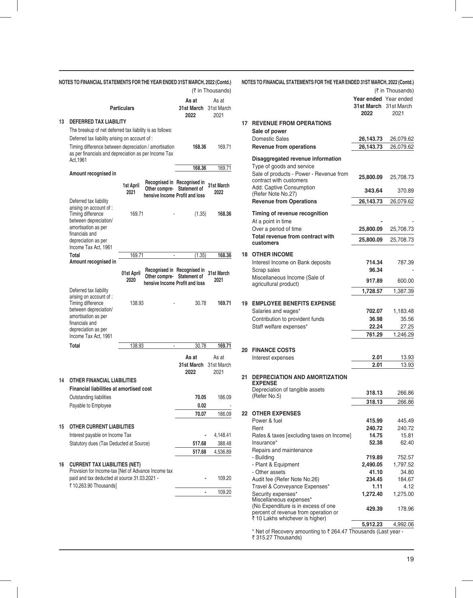|    | NOTES TO FINANCIAL STATEMENTS FOR THE YEAR ENDED 31ST MARCH, 2022 (Contd.) |                    |                                |                                                           |                    |  | NOTES TO FINANCIAL STATEMENTS FOR THE YEAR ENDED 31ST MARCH, 2022 (Contd. |                               |                               |  |  |
|----|----------------------------------------------------------------------------|--------------------|--------------------------------|-----------------------------------------------------------|--------------------|--|---------------------------------------------------------------------------|-------------------------------|-------------------------------|--|--|
|    |                                                                            |                    |                                |                                                           | $(5$ in Thousands) |  |                                                                           |                               | (₹ in Thousands)              |  |  |
|    |                                                                            | <b>Particulars</b> |                                | As at<br>31st March 31st March<br>2022                    | As at<br>2021      |  |                                                                           | Year ended Year ended<br>2022 | 31st March 31st March<br>2021 |  |  |
|    | 13 DEFERRED TAX LIABILITY                                                  |                    |                                |                                                           |                    |  | <b>17 REVENUE FROM OPERATIONS</b>                                         |                               |                               |  |  |
|    | The breakup of net deferred tax liability is as follows:                   |                    |                                |                                                           |                    |  | Sale of power                                                             |                               |                               |  |  |
|    | Deferred tax liability arising on account of :                             |                    |                                |                                                           |                    |  | Domestic Sales                                                            | 26,143.73                     | 26,079.62                     |  |  |
|    | Timing difference between depreciation / amortisation                      |                    |                                | 168.36                                                    | 169.71             |  | Revenue from operations                                                   | 26, 143. 73                   | 26,079.62                     |  |  |
|    | as per financials and depreciation as per Income Tax                       |                    |                                |                                                           |                    |  |                                                                           |                               |                               |  |  |
|    | Act, 1961                                                                  |                    |                                |                                                           |                    |  | Disaggregated revenue information<br>Type of goods and service            |                               |                               |  |  |
|    | Amount recognised in                                                       |                    |                                | 168.36                                                    | 169.71             |  | Sale of products - Power - Revenue from                                   |                               |                               |  |  |
|    |                                                                            |                    |                                | Recognised in Recognised in                               |                    |  | contract with customers                                                   | 25,800.09                     | 25,708.73                     |  |  |
|    |                                                                            | 1st April          | Other compre- Statement of     |                                                           | 31st March         |  | Add: Captive Consumption                                                  | 343.64                        | 370.89                        |  |  |
|    |                                                                            | 2021               | hensive Income Profit and loss |                                                           | 2022               |  | (Refer Note No.27)                                                        |                               |                               |  |  |
|    | Deferred tax liability<br>arising on account of :                          |                    |                                |                                                           |                    |  | <b>Revenue from Operations</b>                                            | 26,143.73                     | 26,079.62                     |  |  |
|    | Timing difference                                                          | 169.71             |                                | (1.35)                                                    | 168.36             |  | Timing of revenue recognition                                             |                               |                               |  |  |
|    | between depreciation/                                                      |                    |                                |                                                           |                    |  | At a point in time                                                        |                               |                               |  |  |
|    | amortisation as per                                                        |                    |                                |                                                           |                    |  | Over a period of time                                                     | 25,800.09                     | 25,708.73                     |  |  |
|    | financials and<br>depreciation as per                                      |                    |                                |                                                           |                    |  | Total revenue from contract with                                          | 25,800.09                     | 25,708.73                     |  |  |
|    | Income Tax Act, 1961                                                       |                    |                                |                                                           |                    |  | customers                                                                 |                               |                               |  |  |
|    | Total                                                                      | 169.71             | $\blacksquare$                 | (1.35)                                                    | 168.36             |  | <b>18 OTHER INCOME</b>                                                    |                               |                               |  |  |
|    | Amount recognised in                                                       |                    |                                |                                                           |                    |  | Interest Income on Bank deposits                                          | 714.34                        | 787.39                        |  |  |
|    |                                                                            | 01st April         |                                | Recognised in Recognised in<br>Other compre- Statement of | 31st March         |  | Scrap sales                                                               | 96.34                         |                               |  |  |
|    |                                                                            | 2020               | hensive Income Profit and loss |                                                           | 2021               |  | Miscellaneous Income (Sale of<br>agricultural product)                    | 917.89                        | 600.00                        |  |  |
|    | Deferred tax liability                                                     |                    |                                |                                                           |                    |  |                                                                           | 1,728.57                      | 1,387.39                      |  |  |
|    | arising on account of :                                                    |                    |                                | 30.78                                                     | 169.71             |  |                                                                           |                               |                               |  |  |
|    | Timing difference<br>between depreciation/                                 | 138.93             |                                |                                                           |                    |  | <b>19 EMPLOYEE BENEFITS EXPENSE</b>                                       | 702.07                        |                               |  |  |
|    | amortisation as per                                                        |                    |                                |                                                           |                    |  | Salaries and wages*<br>Contribution to provident funds                    | 36.98                         | 1,183.48<br>35.56             |  |  |
|    | financials and                                                             |                    |                                |                                                           |                    |  | Staff welfare expenses*                                                   | 22.24                         | 27.25                         |  |  |
|    | depreciation as per                                                        |                    |                                |                                                           |                    |  |                                                                           | 761.29                        | 1,246.29                      |  |  |
|    | Income Tax Act, 1961                                                       |                    |                                |                                                           |                    |  |                                                                           |                               |                               |  |  |
|    | Total                                                                      | 138.93             | $\blacksquare$                 | 30.78                                                     | 169.71             |  | <b>20 FINANCE COSTS</b>                                                   |                               |                               |  |  |
|    |                                                                            |                    |                                | As at                                                     | As at              |  | Interest expenses                                                         | 2.01                          | 13.93                         |  |  |
|    |                                                                            |                    |                                | 31st March 31st March                                     |                    |  |                                                                           | 2.01                          | 13.93                         |  |  |
|    |                                                                            |                    |                                | 2022                                                      | 2021               |  | 21 DEPRECIATION AND AMORTIZATION                                          |                               |                               |  |  |
| 14 | <b>OTHER FINANCIAL LIABILITIES</b>                                         |                    |                                |                                                           |                    |  | <b>EXPENSE</b>                                                            |                               |                               |  |  |
|    | Financial liabilities at amortised cost                                    |                    |                                |                                                           |                    |  | Depreciation of tangible assets                                           | 318.13                        | 266.86                        |  |  |
|    | Outstanding liabilities                                                    |                    |                                | 70.05                                                     | 186.09             |  | (Refer No.5)                                                              | 318.13                        | 266.86                        |  |  |
|    | Payable to Employee                                                        |                    |                                | 0.02                                                      |                    |  |                                                                           |                               |                               |  |  |
|    |                                                                            |                    |                                | 70.07                                                     | 186.09             |  | <b>22 OTHER EXPENSES</b>                                                  |                               |                               |  |  |
|    | 15 OTHER CURRENT LIABILITIES                                               |                    |                                |                                                           |                    |  | Power & fuel                                                              | 415.99                        | 445.49                        |  |  |
|    | Interest payable on Income Tax                                             |                    |                                |                                                           | 4,148.41           |  | Rent<br>Rates & taxes [excluding taxes on Income]                         | 240.72<br>14.75               | 240.72<br>15.81               |  |  |
|    | Statutory dues (Tax Deducted at Source)                                    |                    |                                | 517.68                                                    | 388.48             |  | Insurance*                                                                | 52.38                         | 62.40                         |  |  |
|    |                                                                            |                    |                                | 517.68                                                    | 4,536.89           |  | Repairs and maintenance                                                   |                               |                               |  |  |
|    |                                                                            |                    |                                |                                                           |                    |  | - Building                                                                | 719.89                        | 752.57                        |  |  |
| 16 | <b>CURRENT TAX LIABILITIES (NET)</b>                                       |                    |                                |                                                           |                    |  | - Plant & Equipment                                                       | 2,490.05                      | 1,797.52                      |  |  |
|    | Provision for Income-tax [Net of Advance Income tax                        |                    |                                |                                                           |                    |  | - Other assets                                                            | 41.10                         | 34.80                         |  |  |
|    | paid and tax deducted at source 31.03.2021 -                               |                    |                                |                                                           | 109.20             |  | Audit fee (Refer Note No.26)                                              | 234.45                        | 184.67                        |  |  |
|    | ₹ 10,263.90 Thousands]                                                     |                    |                                | $\blacksquare$                                            | 109.20             |  | Travel & Conveyance Expenses*                                             | 1.11                          | 4.12                          |  |  |
|    |                                                                            |                    |                                |                                                           |                    |  | Security expenses*<br>Miscellaneous expenses*                             | 1,272.40                      | 1,275.00                      |  |  |

|                          | ARCH, 2022 (Contd.)         |    | NOTES TO FINANCIAL STATEMENTS FOR THE YEAR ENDED 31ST MARCH, 2022 (Contd.)  |                                                               |                            |
|--------------------------|-----------------------------|----|-----------------------------------------------------------------------------|---------------------------------------------------------------|----------------------------|
|                          | (₹ in Thousands)            |    |                                                                             |                                                               | $(3\bar{z})$ in Thousands) |
| at<br><b>March</b><br>22 | As at<br>31st March<br>2021 |    |                                                                             | Year ended Year ended<br><b>31st March</b> 31st March<br>2022 | 2021                       |
|                          |                             |    | <b>17 REVENUE FROM OPERATIONS</b>                                           |                                                               |                            |
|                          |                             |    | Sale of power                                                               |                                                               |                            |
|                          |                             |    | <b>Domestic Sales</b>                                                       | 26,143.73                                                     | 26,079.62                  |
| 168.36                   | 169.71                      |    | <b>Revenue from operations</b>                                              | 26,143.73                                                     | 26,079.62                  |
|                          |                             |    |                                                                             |                                                               |                            |
|                          |                             |    | Disaggregated revenue information                                           |                                                               |                            |
| 168.36                   | 169.71                      |    | Type of goods and service<br>Sale of products - Power - Revenue from        |                                                               |                            |
| ised in                  |                             |    | contract with customers                                                     | 25,800.09                                                     | 25,708.73                  |
| ent of                   | 31st March                  |    | <b>Add: Captive Consumption</b>                                             | 343.64                                                        | 370.89                     |
| າd loss                  | 2022                        |    | (Refer Note No.27)                                                          |                                                               |                            |
|                          |                             |    | <b>Revenue from Operations</b>                                              | 26, 143. 73                                                   | 26,079.62                  |
| (1.35)                   | 168.36                      |    | Timing of revenue recognition                                               |                                                               |                            |
|                          |                             |    | At a point in time                                                          |                                                               |                            |
|                          |                             |    | Over a period of time                                                       | 25,800.09                                                     | 25,708.73                  |
|                          |                             |    | Total revenue from contract with                                            | 25,800.09                                                     | 25,708.73                  |
|                          |                             |    | customers                                                                   |                                                               |                            |
| (1.35)                   | 168.36                      |    | <b>18 OTHER INCOME</b>                                                      |                                                               |                            |
|                          |                             |    | Interest Income on Bank deposits                                            | 714.34                                                        | 787.39                     |
| ised in                  | 31st March                  |    | Scrap sales                                                                 | 96.34                                                         |                            |
| ent of                   | 2021                        |    | Miscellaneous Income (Sale of                                               | 917.89                                                        | 600.00                     |
| d loss                   |                             |    | agricultural product)                                                       |                                                               |                            |
|                          |                             |    |                                                                             | 1,728.57                                                      | 1,387.39                   |
| 30.78                    | 169.71                      |    | <b>19 EMPLOYEE BENEFITS EXPENSE</b>                                         |                                                               |                            |
|                          |                             |    | Salaries and wages*                                                         | 702.07                                                        | 1,183.48                   |
|                          |                             |    | Contribution to provident funds                                             | 36.98                                                         | 35.56                      |
|                          |                             |    | Staff welfare expenses*                                                     | 22.24                                                         | 27.25                      |
|                          |                             |    |                                                                             | 761.29                                                        | 1,246.29                   |
| 30.78                    | 169.71                      |    |                                                                             |                                                               |                            |
|                          |                             |    | <b>20 FINANCE COSTS</b>                                                     |                                                               |                            |
| at<br><b>March</b>       | As at<br>31st March         |    | Interest expenses                                                           | 2.01<br>2.01                                                  | 13.93<br>13.93             |
| 22                       | 2021                        |    |                                                                             |                                                               |                            |
|                          |                             | 21 | <b>DEPRECIATION AND AMORTIZATION</b>                                        |                                                               |                            |
|                          |                             |    | <b>EXPENSE</b>                                                              |                                                               |                            |
| 70.05                    | 186.09                      |    | Depreciation of tangible assets<br>(Refer No.5)                             | 318.13                                                        | 266.86                     |
| 0.02                     |                             |    |                                                                             | 318.13                                                        | 266.86                     |
| 70.07                    | 186.09                      |    | 22 OTHER EXPENSES                                                           |                                                               |                            |
|                          |                             |    | Power & fuel                                                                | 415.99                                                        | 445.49                     |
|                          |                             |    | Rent                                                                        | 240.72                                                        | 240.72                     |
|                          | 4,148.41                    |    | Rates & taxes [excluding taxes on Income]                                   | 14.75                                                         | 15.81                      |
| 517.68                   | 388.48                      |    | Insurance*                                                                  | 52.38                                                         | 62.40                      |
| 517.68                   | 4,536.89                    |    | Repairs and maintenance                                                     |                                                               |                            |
|                          |                             |    | - Building                                                                  | 719.89                                                        | 752.57                     |
|                          |                             |    | - Plant & Equipment<br>- Other assets                                       | 2,490.05<br>41.10                                             | 1,797.52<br>34.80          |
|                          | 109.20                      |    | Audit fee (Refer Note No.26)                                                | 234.45                                                        | 184.67                     |
|                          |                             |    | Travel & Conveyance Expenses*                                               | 1.11                                                          | 4.12                       |
|                          | 109.20                      |    | Security expenses*                                                          | 1,272.40                                                      | 1,275.00                   |
|                          |                             |    | Miscellaneous expenses*                                                     |                                                               |                            |
|                          |                             |    | (No Expenditure is in excess of one<br>percent of revenue from operation or | 429.39                                                        | 178.96                     |
|                          |                             |    | ₹ 10 Lakhs whichever is higher)                                             |                                                               |                            |
|                          |                             |    |                                                                             | 5,912.23                                                      | 4,992.06                   |
|                          |                             |    | * Net of Recovery amounting to ₹ 264.47 Thousands (Last year -              |                                                               |                            |

₹ 315.27 Thousands)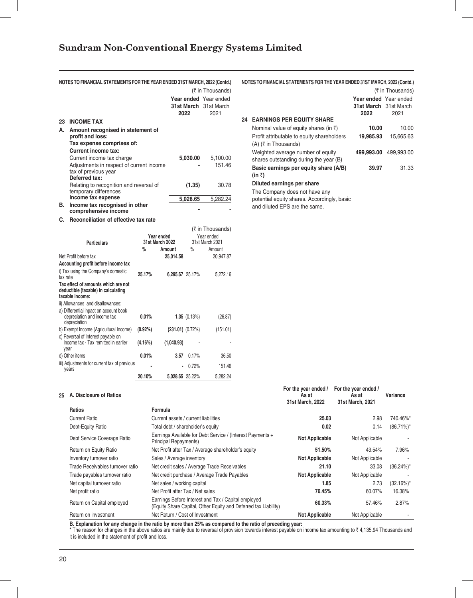| NOTES TO FINANCIAL STATEMENTS FOR THE YEAR ENDED 31ST MARCH, 2022 (Contd.)                                                                   |                                                      |            |            |                      |                                                               |  |  |  |
|----------------------------------------------------------------------------------------------------------------------------------------------|------------------------------------------------------|------------|------------|----------------------|---------------------------------------------------------------|--|--|--|
| (₹ in Thousands)                                                                                                                             |                                                      |            |            |                      |                                                               |  |  |  |
|                                                                                                                                              |                                                      |            |            | 2022                 | Year ended Year ended<br><b>31st March</b> 31st March<br>2021 |  |  |  |
| <b>INCOME TAX</b><br>23                                                                                                                      |                                                      |            |            |                      |                                                               |  |  |  |
| А.<br>Amount recognised in statement of<br>profit and loss:<br>Tax expense comprises of:                                                     |                                                      |            |            |                      |                                                               |  |  |  |
| <b>Current income tax:</b><br>Current income tax charge<br>Adjustments in respect of current income<br>tax of previous year<br>Deferred tax: |                                                      |            |            | 5,030.00             | 5,100.00<br>151.46                                            |  |  |  |
| Relating to recognition and reversal of<br>temporary differences                                                                             |                                                      |            |            | (1.35)               | 30.78                                                         |  |  |  |
| В.<br>comprehensive income                                                                                                                   | Income tax expense<br>Income tax recognised in other |            |            |                      |                                                               |  |  |  |
| Reconciliation of effective tax rate<br>С.                                                                                                   |                                                      |            |            |                      |                                                               |  |  |  |
| <b>Particulars</b>                                                                                                                           | 31st March 2022                                      | Year ended |            |                      | (₹ in Thousands)<br>Year ended<br>31st March 2021             |  |  |  |
|                                                                                                                                              | $\%$                                                 | Amount     |            | $\%$                 | Amount                                                        |  |  |  |
| Net Profit before tax                                                                                                                        |                                                      |            | 25,014.58  |                      | 20,947.87                                                     |  |  |  |
| Accounting profit before income tax<br>i) Tax using the Company's domestic<br>tax rate                                                       | 25.17%                                               |            |            | 6,295.67 25.17%      | 5,272.16                                                      |  |  |  |
| Tax effect of amounts which are not<br>deductible (taxable) in calculating<br>taxable income:                                                |                                                      |            |            |                      |                                                               |  |  |  |
| ii) Allowances and disallowances:                                                                                                            |                                                      |            |            |                      |                                                               |  |  |  |
| a) Differential inpact on account book<br>depreciation and income tax<br>depreciation                                                        | 0.01%                                                |            |            | 1.35(0.13%)          | (26.87)                                                       |  |  |  |
| b) Exempt Income (Agricultural Income)                                                                                                       | (0.92%)                                              |            |            | $(231.01)$ $(0.72%)$ | (151.01)                                                      |  |  |  |
| c) Reversal of Interest payable on<br>Income tax - Tax remitted in earlier<br>vear                                                           | (4.16%)                                              |            | (1,040.93) |                      |                                                               |  |  |  |
| d) Other items                                                                                                                               | 0.01%                                                |            | 3.57       | 0.17%                | 36.50                                                         |  |  |  |
| iii) Adjustments for current tax of previous<br>vears                                                                                        |                                                      |            |            | 0.72%                | 151.46                                                        |  |  |  |
|                                                                                                                                              | 20.10%                                               |            |            | 5.028.65 25.22%      | 5.282.24                                                      |  |  |  |

# **NOTES TO FINANCIAL STATEMENTS FOR THE YEAR ENDED 31ST MARCH, 2022 (Contd.) NOTES TO FINANCIAL STATEMENTS FOR THE YEAR ENDED 31ST MARCH, 2022 (Contd.)**

|      | (₹ in Thousands)      |                                                                                      |                              | (₹ in Thousands) |
|------|-----------------------|--------------------------------------------------------------------------------------|------------------------------|------------------|
|      | <b>ded</b> Year ended |                                                                                      | Year ended Year ended        |                  |
|      | rch 31st March        |                                                                                      | <b>31st March</b> 31st March |                  |
|      | 2021                  |                                                                                      | 2022                         | 2021             |
|      |                       | <b>24 EARNINGS PER EQUITY SHARE</b>                                                  |                              |                  |
|      |                       | Nominal value of equity shares (in $\bar{z}$ )                                       | 10.00                        | 10.00            |
|      |                       | Profit attributable to equity shareholders<br>$(A)$ ( $\overline{\xi}$ in Thousands) | 19,985.93                    | 15,665.63        |
| 00.( | 5,100.00              | Weighted average number of equity<br>shares outstanding during the year (B)          | 499.993.00                   | 499.993.00       |
|      | 151.46                | Basic earnings per equity share (A/B)<br>(in ₹)                                      | 39.97                        | 31.33            |
| 35)  | 30.78                 | Diluted earnings per share                                                           |                              |                  |
|      |                       | The Company does not have any                                                        |                              |                  |

The Company does not have any potential equity shares. Accordingly, basic and diluted EPS are the same.

| For the year ended /   | For the year ended /     |  |  |
|------------------------|--------------------------|--|--|
| As at                  | As at                    |  |  |
| <b>Address L. AAAA</b> | <b>Added Beach, AAA4</b> |  |  |

**Variance**

|                                  |                                                                                                                        | <b>31st March, 2022</b> | 31st March, 2021 |               |
|----------------------------------|------------------------------------------------------------------------------------------------------------------------|-------------------------|------------------|---------------|
| Ratios                           | Formula                                                                                                                |                         |                  |               |
| <b>Current Ratio</b>             | Current assets / current liabilities                                                                                   | 25.03                   | 2.98             | 740.46%*      |
| Debt-Equity Ratio                | Total debt / shareholder's equity                                                                                      | 0.02                    | 0.14             | $(86.71\%)^*$ |
| Debt Service Coverage Ratio      | Earnings Available for Debt Service / (Interest Payments +<br><b>Principal Repayments)</b>                             | <b>Not Applicable</b>   | Not Applicable   |               |
| Return on Equity Ratio           | Net Profit after Tax / Average shareholder's equity                                                                    | 51.50%                  | 43.54%           | 7.96%         |
| Inventory turnover ratio         | Sales / Average inventory                                                                                              | <b>Not Applicable</b>   | Not Applicable   |               |
| Trade Receivables turnover ratio | Net credit sales / Average Trade Receivables                                                                           | 21.10                   | 33.08            | $(36.24\%)^*$ |
| Trade payables turnover ratio    | Net credit purchase / Average Trade Payables                                                                           | <b>Not Applicable</b>   | Not Applicable   |               |
| Net capital turnover ratio       | Net sales / working capital                                                                                            | 1.85                    | 2.73             | $(32.16\%)^*$ |
| Net profit ratio                 | Net Profit after Tax / Net sales                                                                                       | 76.45%                  | 60.07%           | 16.38%        |
| Return on Capital employed       | Earnings Before Interest and Tax / Capital employed<br>(Equity Share Capital, Other Equity and Deferred tax Liability) | 60.33%                  | 57.46%           | 2.87%         |
| Return on investment             | Net Return / Cost of Investment                                                                                        | <b>Not Applicable</b>   | Not Applicable   |               |

**B. Explanation for any change in the ratio by more than 25% as compared to the ratio of preceding year:**

\* The reason for changes in the above ratios are mainly due to reversal of provision towards interest payable on income tax amounting to ₹4,135.94 Thousands and it is included in the statement of profit and loss.

**25 A. Disclosure of Ratios**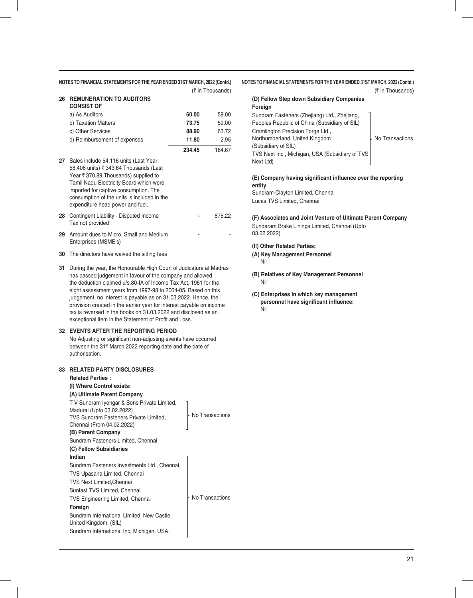|    | NOTES TO FINANCIAL STATEMENTS FOR THE YEAR ENDED 31ST MARCH, 2022 (Contd.)                                                                                                                                                                                                                                                                                                                                                                                                                                                               |        |                  |  |  |  |
|----|------------------------------------------------------------------------------------------------------------------------------------------------------------------------------------------------------------------------------------------------------------------------------------------------------------------------------------------------------------------------------------------------------------------------------------------------------------------------------------------------------------------------------------------|--------|------------------|--|--|--|
|    |                                                                                                                                                                                                                                                                                                                                                                                                                                                                                                                                          |        | (₹ in Thousands) |  |  |  |
| 26 | <b>REMUNERATION TO AUDITORS</b><br><b>CONSIST OF</b>                                                                                                                                                                                                                                                                                                                                                                                                                                                                                     |        |                  |  |  |  |
|    | a) As Auditors                                                                                                                                                                                                                                                                                                                                                                                                                                                                                                                           | 60.00  | 59.00            |  |  |  |
|    | b) Taxation Matters                                                                                                                                                                                                                                                                                                                                                                                                                                                                                                                      | 73.75  | 59.00            |  |  |  |
|    | c) Other Services                                                                                                                                                                                                                                                                                                                                                                                                                                                                                                                        | 88.90  | 63.72            |  |  |  |
|    | d) Reimbursement of expenses                                                                                                                                                                                                                                                                                                                                                                                                                                                                                                             | 11.80  | 2.95             |  |  |  |
|    |                                                                                                                                                                                                                                                                                                                                                                                                                                                                                                                                          | 234.45 | 184.67           |  |  |  |
| 27 | Sales include 54,116 units (Last Year<br>58,408 units) ₹ 343.64 Thousands (Last<br>Year ₹ 370.89 Thousands) supplied to<br>Tamil Nadu Electricity Board which were<br>imported for captive consumption. The<br>consumption of the units is included in the<br>expenditure head power and fuel.                                                                                                                                                                                                                                           |        |                  |  |  |  |
| 28 | Contingent Liability - Disputed Income<br>Tax not provided                                                                                                                                                                                                                                                                                                                                                                                                                                                                               |        | 875.22           |  |  |  |
| 29 | Amount dues to Micro, Small and Medium<br>Enterprises (MSME's)                                                                                                                                                                                                                                                                                                                                                                                                                                                                           |        |                  |  |  |  |
| 30 | The directors have waived the sitting fees                                                                                                                                                                                                                                                                                                                                                                                                                                                                                               |        |                  |  |  |  |
| 31 | During the year, the Honourable High Court of Judicature at Madras<br>has passed judgement in favour of the company and allowed<br>the deduction claimed u/s.80-IA of Income Tax Act, 1961 for the<br>eight assessment years from 1997-98 to 2004-05. Based on this<br>judgement, no interest is payable as on 31.03.2022. Hence, the<br>provision created in the earlier year for interest payable on income<br>tax is reversed in the books on 31.03.2022 and disclosed as an<br>exceptional item in the Statement of Profit and Loss. |        |                  |  |  |  |
| 32 | <b>EVENTS AFTER THE REPORTING PERIOD</b><br>No Adjusting or significant non-adjusting events have occurred<br>between the 31 <sup>st</sup> March 2022 reporting date and the date of<br>authorisation.                                                                                                                                                                                                                                                                                                                                   |        |                  |  |  |  |
| 33 | <b>RELATED PARTY DISCLOSURES</b><br><b>Related Parties:</b><br>(I) Where Control exists:<br>(A) Ultimate Parent Company<br>TV Sundram Iyengar & Sons Private Limited,<br>Madurai (Upto 03.02.2022)<br>TVS Sundram Fasteners Private Limited,<br>Chennai (From 04.02.2022)<br>(B) Parent Company<br>Sundram Fasteners Limited, Chennai<br>(C) Fellow Subsidiaries<br>Indian<br>Sundram Fasteners Investments Ltd., Chennai,                                                                                                               |        | No Transactions  |  |  |  |
|    | TVS Upasana Limited, Chennai<br><b>TVS Next Limited, Chennai</b><br>Sunfast TVS Limited, Chennai<br>TVS Engineering Limited, Chennai<br>Foreign<br>Sundram International Limited, New Castle,<br>United Kingdom, (SIL)<br>Sundram International Inc, Michigan, USA,                                                                                                                                                                                                                                                                      |        | No Transactions  |  |  |  |

# (` in Thousands) (` in Thousands) **NOTES TO FINANCIAL STATEMENTS FOR THE YEAR ENDED 31ST MARCH, 2022 (Contd.) (D) Fellow Step down Subsidiary Companies**

| Foreign                                                                                                                                                    |                 |
|------------------------------------------------------------------------------------------------------------------------------------------------------------|-----------------|
| Sundram Fasteners (Zhejiang) Ltd., Zhejiang,<br>Peoples Republic of China (Subsidiary of SIL)                                                              |                 |
| Cramlington Precision Forge Ltd.,<br>Northumberland, United Kingdom<br>(Subsidiary of SIL)<br>TVS Next Inc., Michigan, USA (Subsidiary of TVS<br>Next Ltd) | No Transactions |
|                                                                                                                                                            |                 |

**(E) Company having significant influence over the reporting entity** Sundram-Clayton Limited, Chennai

Lucas TVS Limited, Chennai

# **(F) Associates and Joint Venture of Ultimate Parent Company**

Sundaram Brake Linings Limited, Chennai (Upto 03.02.2022)

# **(II) Other Related Parties:**

**(A) Key Management Personnel** Nil

**(B) Relatives of Key Management Personnel** Nil

**(C) Enterprises in which key management** personnel have significant influence: Nil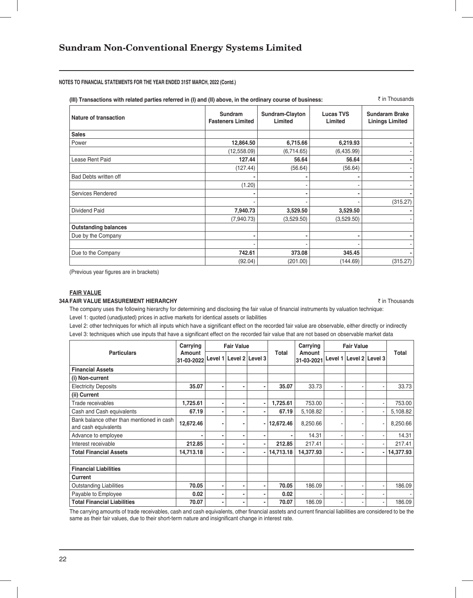**NOTES TO FINANCIAL STATEMENTS FOR THE YEAR ENDED 31ST MARCH, 2022 (Contd.)**

| ₹ in Thousands<br>(III) Transactions with related parties referred in (I) and (II) above, in the ordinary course of business: |                                     |                            |                                                                                                        |                                                 |  |  |
|-------------------------------------------------------------------------------------------------------------------------------|-------------------------------------|----------------------------|--------------------------------------------------------------------------------------------------------|-------------------------------------------------|--|--|
| Nature of transaction                                                                                                         | Sundram<br><b>Fasteners Limited</b> | Sundram-Clayton<br>Limited | <b>Lucas TVS</b><br>Limited                                                                            | <b>Sundaram Brake</b><br><b>Linings Limited</b> |  |  |
| <b>Sales</b>                                                                                                                  |                                     |                            |                                                                                                        |                                                 |  |  |
| Power                                                                                                                         | 12,864.50                           | 6,715.66                   | 6,219.93                                                                                               |                                                 |  |  |
|                                                                                                                               | (12, 558.09)                        | (6,714.65)                 | (6,435.99)<br>56.64<br>56.64<br>(56.64)<br>(56.64)<br>3,529.50<br>3,529.50<br>(3,529.50)<br>(3,529.50) |                                                 |  |  |
| Lease Rent Paid                                                                                                               | 127.44                              |                            |                                                                                                        |                                                 |  |  |
|                                                                                                                               | (127.44)                            |                            |                                                                                                        |                                                 |  |  |
| Bad Debts written off                                                                                                         |                                     |                            |                                                                                                        |                                                 |  |  |
|                                                                                                                               | (1.20)                              |                            |                                                                                                        |                                                 |  |  |
| Services Rendered                                                                                                             |                                     |                            |                                                                                                        |                                                 |  |  |
|                                                                                                                               |                                     |                            |                                                                                                        | (315.27)                                        |  |  |
| Dividend Paid                                                                                                                 | 7,940.73                            |                            |                                                                                                        |                                                 |  |  |
|                                                                                                                               | (7,940.73)                          |                            |                                                                                                        |                                                 |  |  |
| <b>Outstanding balances</b>                                                                                                   |                                     |                            |                                                                                                        |                                                 |  |  |
| Due by the Company                                                                                                            |                                     |                            |                                                                                                        |                                                 |  |  |
|                                                                                                                               |                                     |                            |                                                                                                        |                                                 |  |  |
| Due to the Company                                                                                                            | 742.61                              | 373.08                     | 345.45                                                                                                 |                                                 |  |  |
|                                                                                                                               | (92.04)                             | (201.00)                   | (144.69)                                                                                               | (315.27)                                        |  |  |

(Previous year figures are in brackets)

### **FAIR VALUE**

**34A FAIR VALUE MEASUREMENT HIERARCHY All and Service Control of the Service Control of the Service Control of the Service Control of the Service Control of the Service Control of the Service Control of the Service Contr** 

The company uses the following hierarchy for determining and disclosing the fair value of financial instruments by valuation technique: Level 1: quoted (unadjusted) prices in active markets for identical assets or liabilities

Level 2: other techniques for which all inputs which have a significant effect on the recorded fair value are observable, either directly or indirectly Level 3: techniques which use inputs that have a significant effect on the recorded fair value that are not based on observable market data

| <b>Particulars</b>                                                | Carrying             | <b>Fair Value</b> |                         |   |               | Carrying             | <b>Fair Value</b> |                         |                          |           |
|-------------------------------------------------------------------|----------------------|-------------------|-------------------------|---|---------------|----------------------|-------------------|-------------------------|--------------------------|-----------|
|                                                                   | Amount<br>31-03-2022 |                   | Level 1 Level 2 Level 3 |   | Total         | Amount<br>31-03-2021 |                   | Level 1 Level 2 Level 3 |                          | Total     |
| <b>Financial Assets</b>                                           |                      |                   |                         |   |               |                      |                   |                         |                          |           |
| (i) Non-current                                                   |                      |                   |                         |   |               |                      |                   |                         |                          |           |
| <b>Electricity Deposits</b>                                       | 35.07                |                   |                         | ۰ | 35.07         | 33.73                | ۰                 |                         | ۰                        | 33.73     |
| (ii) Current                                                      |                      |                   |                         |   |               |                      |                   |                         |                          |           |
| Trade receivables                                                 | 1,725.61             |                   |                         | - | 1,725.61      | 753.00               |                   |                         | ٠                        | 753.00    |
| Cash and Cash equivalents                                         | 67.19                |                   |                         |   | 67.19         | 5,108.82             |                   |                         |                          | 5,108.82  |
| Bank balance other than mentioned in cash<br>and cash equivalents | 12,672.46            |                   |                         | - | 12,672.46     | 8,250.66             |                   |                         |                          | 8,250.66  |
| Advance to employee                                               |                      |                   |                         | ۰ |               | 14.31                |                   |                         | $\overline{\phantom{a}}$ | 14.31     |
| Interest receivable                                               | 212.85               |                   |                         |   | 212.85        | 217.41               |                   |                         | ۰                        | 217.41    |
| <b>Total Financial Assets</b>                                     | 14,713.18            |                   |                         |   | $- 14,713.18$ | 14,377.93            |                   |                         | -                        | 14,377.93 |
|                                                                   |                      |                   |                         |   |               |                      |                   |                         |                          |           |
| <b>Financial Liabilities</b>                                      |                      |                   |                         |   |               |                      |                   |                         |                          |           |
| Current                                                           |                      |                   |                         |   |               |                      |                   |                         |                          |           |
| <b>Outstanding Liabilities</b>                                    | 70.05                |                   |                         | ۰ | 70.05         | 186.09               |                   |                         | ٠                        | 186.09    |
| Payable to Employee                                               | 0.02                 |                   |                         | ۰ | 0.02          |                      |                   |                         | ۰                        |           |
| <b>Total Financial Liabilities</b>                                | 70.07                |                   |                         |   | 70.07         | 186.09               | ۰                 | -                       | ۰                        | 186.09    |

The carrying amounts of trade receivables, cash and cash equivalents, other financial asstets and current financial liabilities are considered to be the same as their fair values, due to their short-term nature and insignificant change in interest rate.